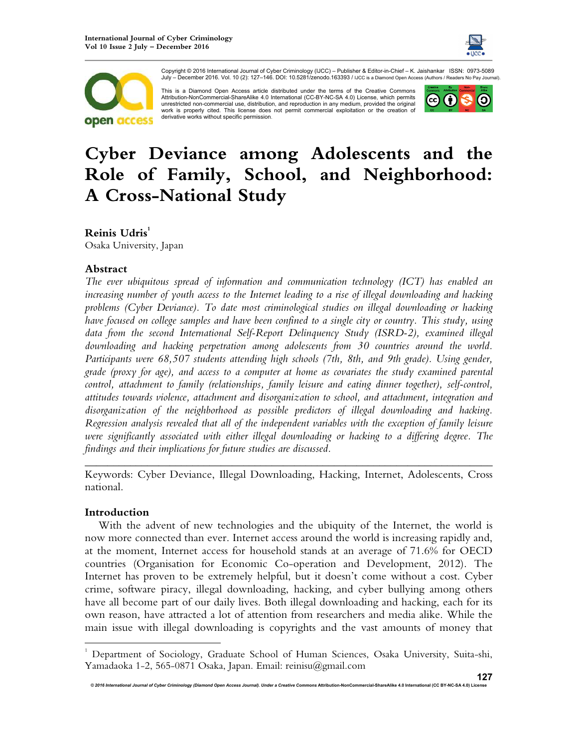



Copyright © 2016 International Journal of Cyber Criminology (IJCC) – Publisher & Editor-in-Chief – K. Jaishankar ISSN: 0973-5089 July – December 2016. Vol. 10 (2): 127–146. DOI: 10.5281/zenodo.163393 / IJCC is a Diamond Open Access (Authors / Readers No Pay Journal).

This is a Diamond Open Access article distributed under the terms of the Creative Commons Attribution-NonCommercial-ShareAlike 4.0 International (CC-BY-NC-SA 4.0) License, which permits unrestricted non-commercial use, distribution, and reproduction in any medium, provided the original work is properly cited. This license does not permit commercial exploitation or the creation of derivative works without specific permission.



# **Cyber Deviance among Adolescents and the Role of Family, School, and Neighborhood: A Cross-National Study**

# **Reinis Udris<sup>1</sup>**

Osaka University, Japan

## **Abstract**

*The ever ubiquitous spread of information and communication technology (ICT) has enabled an increasing number of youth access to the Internet leading to a rise of illegal downloading and hacking problems (Cyber Deviance). To date most criminological studies on illegal downloading or hacking have focused on college samples and have been confined to a single city or country. This study, using*  data from the second International Self-Report Delinquency Study (ISRD-2), examined illegal *downloading and hacking perpetration among adolescents from 30 countries around the world. Participants were 68,507 students attending high schools (7th, 8th, and 9th grade). Using gender, grade (proxy for age), and access to a computer at home as covariates the study examined parental control, attachment to family (relationships, family leisure and eating dinner together), self-control, attitudes towards violence, attachment and disorganization to school, and attachment, integration and disorganization of the neighborhood as possible predictors of illegal downloading and hacking. Regression analysis revealed that all of the independent variables with the exception of family leisure were significantly associated with either illegal downloading or hacking to a differing degree. The findings and their implications for future studies are discussed.* 

*\_\_\_\_\_\_\_\_\_\_\_\_\_\_\_\_\_\_\_\_\_\_\_\_\_\_\_\_\_\_\_\_\_\_\_\_\_\_\_\_\_\_\_\_\_\_\_\_\_\_\_\_\_\_\_\_\_\_\_\_\_\_\_\_\_\_\_\_\_\_\_\_* Keywords: Cyber Deviance, Illegal Downloading, Hacking, Internet, Adolescents, Cross national.

## **Introduction**

l.

With the advent of new technologies and the ubiquity of the Internet, the world is now more connected than ever. Internet access around the world is increasing rapidly and, at the moment, Internet access for household stands at an average of 71.6% for OECD countries (Organisation for Economic Co-operation and Development, 2012). The Internet has proven to be extremely helpful, but it doesn't come without a cost. Cyber crime, software piracy, illegal downloading, hacking, and cyber bullying among others have all become part of our daily lives. Both illegal downloading and hacking, each for its own reason, have attracted a lot of attention from researchers and media alike. While the main issue with illegal downloading is copyrights and the vast amounts of money that

<sup>&</sup>lt;sup>1</sup> Department of Sociology, Graduate School of Human Sciences, Osaka University, Suita-shi, Yamadaoka 1-2, 565-0871 Osaka, Japan. Email: reinisu@gmail.com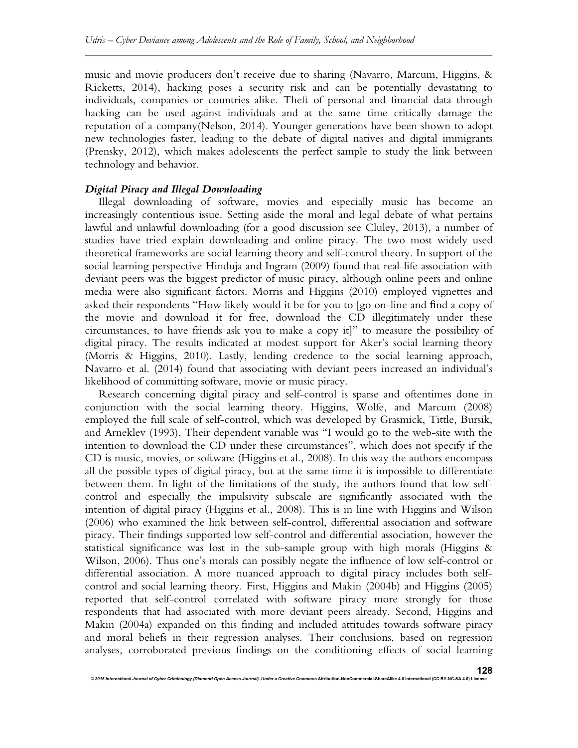music and movie producers don't receive due to sharing (Navarro, Marcum, Higgins, & Ricketts, 2014), hacking poses a security risk and can be potentially devastating to individuals, companies or countries alike. Theft of personal and financial data through hacking can be used against individuals and at the same time critically damage the reputation of a company(Nelson, 2014). Younger generations have been shown to adopt new technologies faster, leading to the debate of digital natives and digital immigrants (Prensky, 2012), which makes adolescents the perfect sample to study the link between technology and behavior.

### *Digital Piracy and Illegal Downloading*

Illegal downloading of software, movies and especially music has become an increasingly contentious issue. Setting aside the moral and legal debate of what pertains lawful and unlawful downloading (for a good discussion see Cluley, 2013), a number of studies have tried explain downloading and online piracy. The two most widely used theoretical frameworks are social learning theory and self-control theory. In support of the social learning perspective Hinduja and Ingram (2009) found that real-life association with deviant peers was the biggest predictor of music piracy, although online peers and online media were also significant factors. Morris and Higgins (2010) employed vignettes and asked their respondents "How likely would it be for you to [go on-line and find a copy of the movie and download it for free, download the CD illegitimately under these circumstances, to have friends ask you to make a copy it]" to measure the possibility of digital piracy. The results indicated at modest support for Aker's social learning theory (Morris & Higgins, 2010). Lastly, lending credence to the social learning approach, Navarro et al. (2014) found that associating with deviant peers increased an individual's likelihood of committing software, movie or music piracy.

Research concerning digital piracy and self-control is sparse and oftentimes done in conjunction with the social learning theory. Higgins, Wolfe, and Marcum (2008) employed the full scale of self-control, which was developed by Grasmick, Tittle, Bursik, and Arneklev (1993). Their dependent variable was "I would go to the web-site with the intention to download the CD under these circumstances", which does not specify if the CD is music, movies, or software (Higgins et al., 2008). In this way the authors encompass all the possible types of digital piracy, but at the same time it is impossible to differentiate between them. In light of the limitations of the study, the authors found that low selfcontrol and especially the impulsivity subscale are significantly associated with the intention of digital piracy (Higgins et al., 2008). This is in line with Higgins and Wilson (2006) who examined the link between self-control, differential association and software piracy. Their findings supported low self-control and differential association, however the statistical significance was lost in the sub-sample group with high morals (Higgins  $\&$ Wilson, 2006). Thus one's morals can possibly negate the influence of low self-control or differential association. A more nuanced approach to digital piracy includes both selfcontrol and social learning theory. First, Higgins and Makin (2004b) and Higgins (2005) reported that self-control correlated with software piracy more strongly for those respondents that had associated with more deviant peers already. Second, Higgins and Makin (2004a) expanded on this finding and included attitudes towards software piracy and moral beliefs in their regression analyses. Their conclusions, based on regression analyses, corroborated previous findings on the conditioning effects of social learning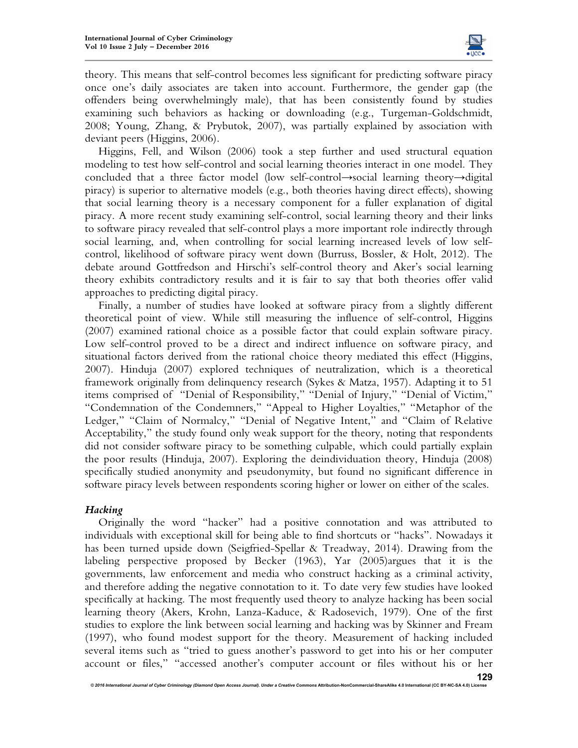

theory. This means that self-control becomes less significant for predicting software piracy once one's daily associates are taken into account. Furthermore, the gender gap (the offenders being overwhelmingly male), that has been consistently found by studies examining such behaviors as hacking or downloading (e.g., Turgeman-Goldschmidt, 2008; Young, Zhang, & Prybutok, 2007), was partially explained by association with deviant peers (Higgins, 2006).

Higgins, Fell, and Wilson (2006) took a step further and used structural equation modeling to test how self-control and social learning theories interact in one model. They concluded that a three factor model (low self-control→social learning theory→digital piracy) is superior to alternative models (e.g., both theories having direct effects), showing that social learning theory is a necessary component for a fuller explanation of digital piracy. A more recent study examining self-control, social learning theory and their links to software piracy revealed that self-control plays a more important role indirectly through social learning, and, when controlling for social learning increased levels of low selfcontrol, likelihood of software piracy went down (Burruss, Bossler, & Holt, 2012). The debate around Gottfredson and Hirschi's self-control theory and Aker's social learning theory exhibits contradictory results and it is fair to say that both theories offer valid approaches to predicting digital piracy.

Finally, a number of studies have looked at software piracy from a slightly different theoretical point of view. While still measuring the influence of self-control, Higgins (2007) examined rational choice as a possible factor that could explain software piracy. Low self-control proved to be a direct and indirect influence on software piracy, and situational factors derived from the rational choice theory mediated this effect (Higgins, 2007). Hinduja (2007) explored techniques of neutralization, which is a theoretical framework originally from delinquency research (Sykes & Matza, 1957). Adapting it to 51 items comprised of "Denial of Responsibility," "Denial of Injury," "Denial of Victim," "Condemnation of the Condemners," "Appeal to Higher Loyalties," "Metaphor of the Ledger," "Claim of Normalcy," "Denial of Negative Intent," and "Claim of Relative Acceptability," the study found only weak support for the theory, noting that respondents did not consider software piracy to be something culpable, which could partially explain the poor results (Hinduja, 2007). Exploring the deindividuation theory, Hinduja (2008) specifically studied anonymity and pseudonymity, but found no significant difference in software piracy levels between respondents scoring higher or lower on either of the scales.

## *Hacking*

Originally the word "hacker" had a positive connotation and was attributed to individuals with exceptional skill for being able to find shortcuts or "hacks". Nowadays it has been turned upside down (Seigfried-Spellar & Treadway, 2014). Drawing from the labeling perspective proposed by Becker (1963), Yar (2005)argues that it is the governments, law enforcement and media who construct hacking as a criminal activity, and therefore adding the negative connotation to it. To date very few studies have looked specifically at hacking. The most frequently used theory to analyze hacking has been social learning theory (Akers, Krohn, Lanza-Kaduce, & Radosevich, 1979). One of the first studies to explore the link between social learning and hacking was by Skinner and Fream (1997), who found modest support for the theory. Measurement of hacking included several items such as "tried to guess another's password to get into his or her computer account or files," "accessed another's computer account or files without his or her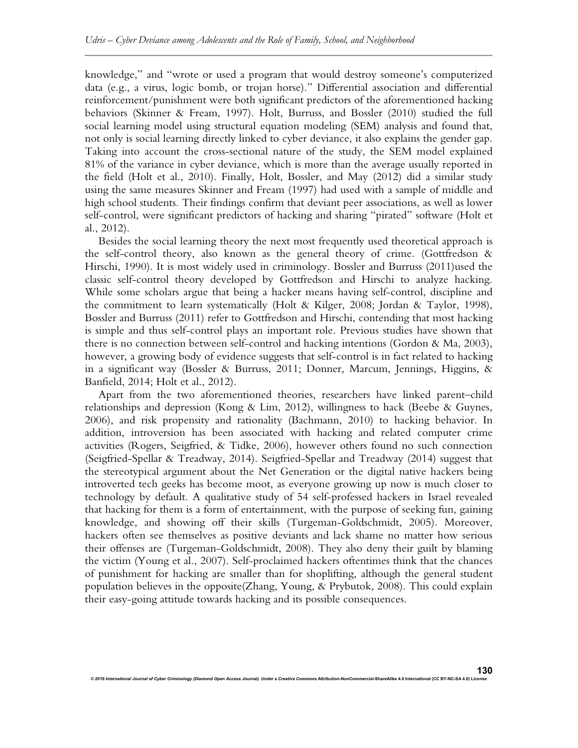knowledge," and "wrote or used a program that would destroy someone's computerized data (e.g., a virus, logic bomb, or trojan horse)." Differential association and differential reinforcement/punishment were both significant predictors of the aforementioned hacking behaviors (Skinner & Fream, 1997). Holt, Burruss, and Bossler (2010) studied the full social learning model using structural equation modeling (SEM) analysis and found that, not only is social learning directly linked to cyber deviance, it also explains the gender gap. Taking into account the cross-sectional nature of the study, the SEM model explained 81% of the variance in cyber deviance, which is more than the average usually reported in the field (Holt et al., 2010). Finally, Holt, Bossler, and May (2012) did a similar study using the same measures Skinner and Fream (1997) had used with a sample of middle and high school students. Their findings confirm that deviant peer associations, as well as lower self-control, were significant predictors of hacking and sharing "pirated" software (Holt et al., 2012).

Besides the social learning theory the next most frequently used theoretical approach is the self-control theory, also known as the general theory of crime. (Gottfredson & Hirschi, 1990). It is most widely used in criminology. Bossler and Burruss (2011)used the classic self-control theory developed by Gottfredson and Hirschi to analyze hacking. While some scholars argue that being a hacker means having self-control, discipline and the commitment to learn systematically (Holt & Kilger, 2008; Jordan & Taylor, 1998), Bossler and Burruss (2011) refer to Gottfredson and Hirschi, contending that most hacking is simple and thus self-control plays an important role. Previous studies have shown that there is no connection between self-control and hacking intentions (Gordon  $\&$  Ma, 2003), however, a growing body of evidence suggests that self-control is in fact related to hacking in a significant way (Bossler & Burruss, 2011; Donner, Marcum, Jennings, Higgins, & Banfield, 2014; Holt et al., 2012).

Apart from the two aforementioned theories, researchers have linked parent–child relationships and depression (Kong & Lim, 2012), willingness to hack (Beebe & Guynes, 2006), and risk propensity and rationality (Bachmann, 2010) to hacking behavior. In addition, introversion has been associated with hacking and related computer crime activities (Rogers, Seigfried, & Tidke, 2006), however others found no such connection (Seigfried-Spellar & Treadway, 2014). Seigfried-Spellar and Treadway (2014) suggest that the stereotypical argument about the Net Generation or the digital native hackers being introverted tech geeks has become moot, as everyone growing up now is much closer to technology by default. A qualitative study of 54 self-professed hackers in Israel revealed that hacking for them is a form of entertainment, with the purpose of seeking fun, gaining knowledge, and showing off their skills (Turgeman-Goldschmidt, 2005). Moreover, hackers often see themselves as positive deviants and lack shame no matter how serious their offenses are (Turgeman-Goldschmidt, 2008). They also deny their guilt by blaming the victim (Young et al., 2007). Self-proclaimed hackers oftentimes think that the chances of punishment for hacking are smaller than for shoplifting, although the general student population believes in the opposite(Zhang, Young, & Prybutok, 2008). This could explain their easy-going attitude towards hacking and its possible consequences.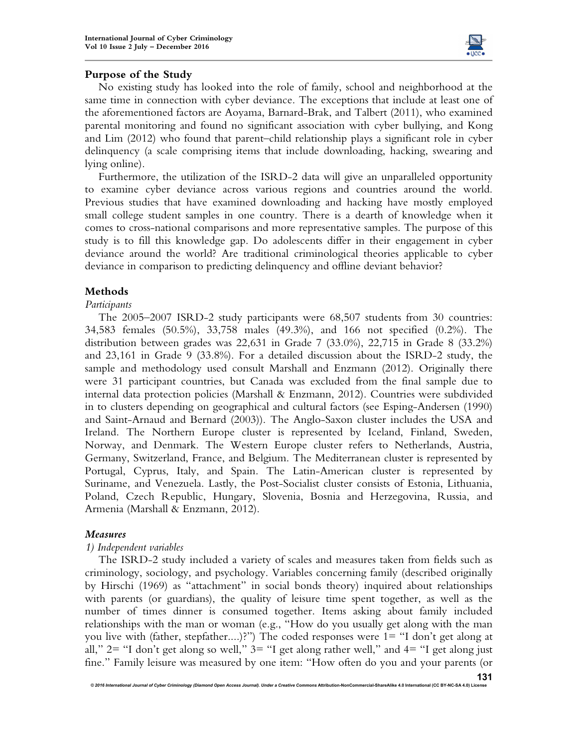

# **Purpose of the Study**

No existing study has looked into the role of family, school and neighborhood at the same time in connection with cyber deviance. The exceptions that include at least one of the aforementioned factors are Aoyama, Barnard-Brak, and Talbert (2011), who examined parental monitoring and found no significant association with cyber bullying, and Kong and Lim (2012) who found that parent–child relationship plays a significant role in cyber delinquency (a scale comprising items that include downloading, hacking, swearing and lying online).

Furthermore, the utilization of the ISRD-2 data will give an unparalleled opportunity to examine cyber deviance across various regions and countries around the world. Previous studies that have examined downloading and hacking have mostly employed small college student samples in one country. There is a dearth of knowledge when it comes to cross-national comparisons and more representative samples. The purpose of this study is to fill this knowledge gap. Do adolescents differ in their engagement in cyber deviance around the world? Are traditional criminological theories applicable to cyber deviance in comparison to predicting delinquency and offline deviant behavior?

# **Methods**

# *Participants*

The 2005–2007 ISRD-2 study participants were 68,507 students from 30 countries: 34,583 females (50.5%), 33,758 males (49.3%), and 166 not specified (0.2%). The distribution between grades was 22,631 in Grade 7 (33.0%), 22,715 in Grade 8 (33.2%) and 23,161 in Grade 9 (33.8%). For a detailed discussion about the ISRD-2 study, the sample and methodology used consult Marshall and Enzmann (2012). Originally there were 31 participant countries, but Canada was excluded from the final sample due to internal data protection policies (Marshall & Enzmann, 2012). Countries were subdivided in to clusters depending on geographical and cultural factors (see Esping-Andersen (1990) and Saint-Arnaud and Bernard (2003)). The Anglo-Saxon cluster includes the USA and Ireland. The Northern Europe cluster is represented by Iceland, Finland, Sweden, Norway, and Denmark. The Western Europe cluster refers to Netherlands, Austria, Germany, Switzerland, France, and Belgium. The Mediterranean cluster is represented by Portugal, Cyprus, Italy, and Spain. The Latin-American cluster is represented by Suriname, and Venezuela. Lastly, the Post-Socialist cluster consists of Estonia, Lithuania, Poland, Czech Republic, Hungary, Slovenia, Bosnia and Herzegovina, Russia, and Armenia (Marshall & Enzmann, 2012).

## *Measures*

## *1) Independent variables*

The ISRD-2 study included a variety of scales and measures taken from fields such as criminology, sociology, and psychology. Variables concerning family (described originally by Hirschi (1969) as "attachment" in social bonds theory) inquired about relationships with parents (or guardians), the quality of leisure time spent together, as well as the number of times dinner is consumed together. Items asking about family included relationships with the man or woman (e.g., "How do you usually get along with the man you live with (father, stepfather....)?") The coded responses were 1= "I don't get along at all,"  $2=$  "I don't get along so well,"  $3=$  "I get along rather well," and  $4=$  "I get along just fine." Family leisure was measured by one item: "How often do you and your parents (or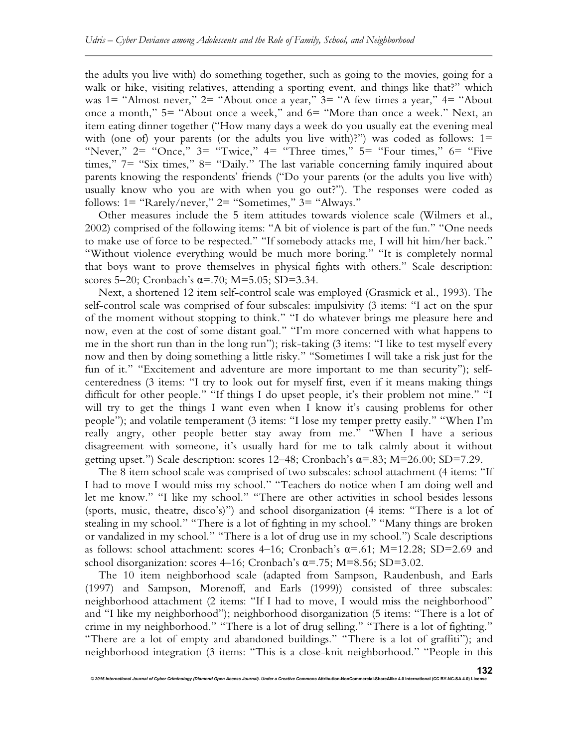the adults you live with) do something together, such as going to the movies, going for a walk or hike, visiting relatives, attending a sporting event, and things like that?" which was 1= "Almost never," 2= "About once a year," 3= "A few times a year," 4= "About once a month," 5= "About once a week," and 6= "More than once a week." Next, an item eating dinner together ("How many days a week do you usually eat the evening meal with (one of) your parents (or the adults you live with)?") was coded as follows: 1= "Never,"  $2 =$  "Once,"  $3 =$  "Twice,"  $4 =$  "Three times,"  $5 =$  "Four times,"  $6 =$  "Five times," 7= "Six times," 8= "Daily." The last variable concerning family inquired about parents knowing the respondents' friends ("Do your parents (or the adults you live with) usually know who you are with when you go out?"). The responses were coded as follows: 1= "Rarely/never," 2= "Sometimes," 3= "Always."

Other measures include the 5 item attitudes towards violence scale (Wilmers et al., 2002) comprised of the following items: "A bit of violence is part of the fun." "One needs to make use of force to be respected." "If somebody attacks me, I will hit him/her back." "Without violence everything would be much more boring." "It is completely normal that boys want to prove themselves in physical fights with others." Scale description: scores 5–20; Cronbach's  $\alpha$ =.70; M=5.05; SD=3.34.

Next, a shortened 12 item self-control scale was employed (Grasmick et al., 1993). The self-control scale was comprised of four subscales: impulsivity (3 items: "I act on the spur of the moment without stopping to think." "I do whatever brings me pleasure here and now, even at the cost of some distant goal." "I'm more concerned with what happens to me in the short run than in the long run"); risk-taking (3 items: "I like to test myself every now and then by doing something a little risky." "Sometimes I will take a risk just for the fun of it." "Excitement and adventure are more important to me than security"); selfcenteredness (3 items: "I try to look out for myself first, even if it means making things difficult for other people." "If things I do upset people, it's their problem not mine." "I will try to get the things I want even when I know it's causing problems for other people"); and volatile temperament (3 items: "I lose my temper pretty easily." "When I'm really angry, other people better stay away from me." "When I have a serious disagreement with someone, it's usually hard for me to talk calmly about it without getting upset.") Scale description: scores  $12-48$ ; Cronbach's  $\alpha = .83$ ; M=26.00; SD=7.29.

The 8 item school scale was comprised of two subscales: school attachment (4 items: "If I had to move I would miss my school." "Teachers do notice when I am doing well and let me know." "I like my school." "There are other activities in school besides lessons (sports, music, theatre, disco's)") and school disorganization (4 items: "There is a lot of stealing in my school." "There is a lot of fighting in my school." "Many things are broken or vandalized in my school." "There is a lot of drug use in my school.") Scale descriptions as follows: school attachment: scores 4–16; Cronbach's  $\alpha$ =.61; M=12.28; SD=2.69 and school disorganization: scores 4–16; Cronbach's  $\alpha$ =.75; M=8.56; SD=3.02.

The 10 item neighborhood scale (adapted from Sampson, Raudenbush, and Earls (1997) and Sampson, Morenoff, and Earls (1999)) consisted of three subscales: neighborhood attachment (2 items: "If I had to move, I would miss the neighborhood" and "I like my neighborhood"); neighborhood disorganization (5 items: "There is a lot of crime in my neighborhood." "There is a lot of drug selling." "There is a lot of fighting." "There are a lot of empty and abandoned buildings." "There is a lot of graffiti"); and neighborhood integration (3 items: "This is a close-knit neighborhood." "People in this

*© 2016 International Journal of Cyber Criminology (Diamond Open Access Journal). Under a Creative Commons* **Attribution-NonCommercial-ShareAlike 4.0 International (CC BY-NC-SA 4.0) License** 

**132**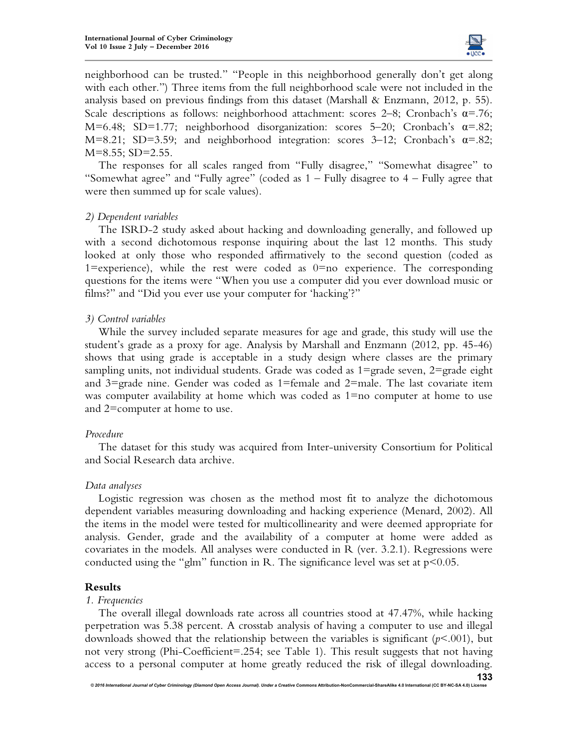

neighborhood can be trusted." "People in this neighborhood generally don't get along with each other.") Three items from the full neighborhood scale were not included in the analysis based on previous findings from this dataset (Marshall  $\&$  Enzmann, 2012, p. 55). Scale descriptions as follows: neighborhood attachment: scores 2–8; Cronbach's  $\alpha$ =.76; M=6.48; SD=1.77; neighborhood disorganization: scores 5–20; Cronbach's  $\alpha$ =.82; M=8.21; SD=3.59; and neighborhood integration: scores 3-12; Cronbach's  $\alpha$ =.82;  $M=8.55$ ; SD=2.55.

The responses for all scales ranged from "Fully disagree," "Somewhat disagree" to "Somewhat agree" and "Fully agree" (coded as  $1 -$  Fully disagree to  $4 -$  Fully agree that were then summed up for scale values).

## *2) Dependent variables*

The ISRD-2 study asked about hacking and downloading generally, and followed up with a second dichotomous response inquiring about the last 12 months. This study looked at only those who responded affirmatively to the second question (coded as 1=experience), while the rest were coded as  $0=$ no experience. The corresponding questions for the items were "When you use a computer did you ever download music or films?" and "Did you ever use your computer for 'hacking'?"

### *3) Control variables*

While the survey included separate measures for age and grade, this study will use the student's grade as a proxy for age. Analysis by Marshall and Enzmann (2012, pp. 45-46) shows that using grade is acceptable in a study design where classes are the primary sampling units, not individual students. Grade was coded as  $1 = \text{grade}$  seven,  $2 = \text{grade}$  eight and  $3 = \text{grade}$  nine. Gender was coded as  $1 = \text{female}$  and  $2 = \text{male}$ . The last covariate item was computer availability at home which was coded as 1=no computer at home to use and 2=computer at home to use.

## *Procedure*

The dataset for this study was acquired from Inter-university Consortium for Political and Social Research data archive.

## *Data analyses*

Logistic regression was chosen as the method most fit to analyze the dichotomous dependent variables measuring downloading and hacking experience (Menard, 2002). All the items in the model were tested for multicollinearity and were deemed appropriate for analysis. Gender, grade and the availability of a computer at home were added as covariates in the models. All analyses were conducted in R (ver. 3.2.1). Regressions were conducted using the "glm" function in R. The significance level was set at  $p<0.05$ .

## **Results**

#### *1. Frequencies*

The overall illegal downloads rate across all countries stood at 47.47%, while hacking perpetration was 5.38 percent. A crosstab analysis of having a computer to use and illegal downloads showed that the relationship between the variables is significant  $(p<.001)$ , but not very strong (Phi-Coefficient=.254; see Table 1). This result suggests that not having access to a personal computer at home greatly reduced the risk of illegal downloading.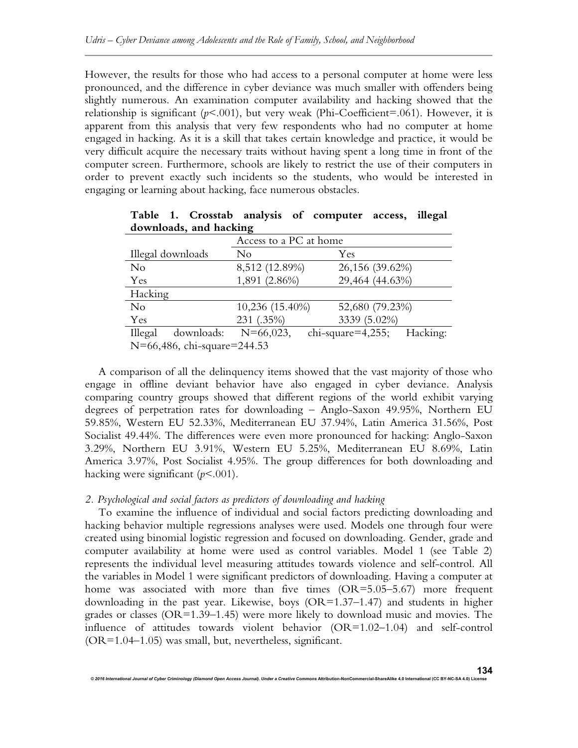However, the results for those who had access to a personal computer at home were less pronounced, and the difference in cyber deviance was much smaller with offenders being slightly numerous. An examination computer availability and hacking showed that the relationship is significant  $(p<.001)$ , but very weak (Phi-Coefficient=.061). However, it is apparent from this analysis that very few respondents who had no computer at home engaged in hacking. As it is a skill that takes certain knowledge and practice, it would be very difficult acquire the necessary traits without having spent a long time in front of the computer screen. Furthermore, schools are likely to restrict the use of their computers in order to prevent exactly such incidents so the students, who would be interested in engaging or learning about hacking, face numerous obstacles.

| Access to a PC at home          |                 |                               |  |  |  |  |  |
|---------------------------------|-----------------|-------------------------------|--|--|--|--|--|
| Illegal downloads               | No              | Yes                           |  |  |  |  |  |
| No                              | 8,512 (12.89%)  | 26,156 (39.62%)               |  |  |  |  |  |
| Yes                             | 1,891 (2.86%)   | 29,464 (44.63%)               |  |  |  |  |  |
| Hacking                         |                 |                               |  |  |  |  |  |
| No                              | 10,236 (15.40%) | 52,680 (79.23%)               |  |  |  |  |  |
| Yes                             | 231 (.35%)      | 3339 (5.02%)                  |  |  |  |  |  |
| downloads:<br>Illegal           | $N=66,023$ ,    | $chi$ -square=4,255; Hacking: |  |  |  |  |  |
| $N=66.486$ chi squaro $-244.53$ |                 |                               |  |  |  |  |  |

**Table 1. Crosstab analysis of computer access, illegal downloads, and hacking** 

N=66,486, chi-square=244.53

A comparison of all the delinquency items showed that the vast majority of those who engage in offline deviant behavior have also engaged in cyber deviance. Analysis comparing country groups showed that different regions of the world exhibit varying degrees of perpetration rates for downloading – Anglo-Saxon 49.95%, Northern EU 59.85%, Western EU 52.33%, Mediterranean EU 37.94%, Latin America 31.56%, Post Socialist 49.44%. The differences were even more pronounced for hacking: Anglo-Saxon 3.29%, Northern EU 3.91%, Western EU 5.25%, Mediterranean EU 8.69%, Latin America 3.97%, Post Socialist 4.95%. The group differences for both downloading and hacking were significant ( $p$ <.001).

## *2. Psychological and social factors as predictors of downloading and hacking*

To examine the influence of individual and social factors predicting downloading and hacking behavior multiple regressions analyses were used. Models one through four were created using binomial logistic regression and focused on downloading. Gender, grade and computer availability at home were used as control variables. Model 1 (see Table 2) represents the individual level measuring attitudes towards violence and self-control. All the variables in Model 1 were significant predictors of downloading. Having a computer at home was associated with more than five times (OR=5.05-5.67) more frequent downloading in the past year. Likewise, boys  $(OR=1.37-1.47)$  and students in higher grades or classes (OR=1.39–1.45) were more likely to download music and movies. The influence of attitudes towards violent behavior (OR=1.02–1.04) and self-control (OR=1.04–1.05) was small, but, nevertheless, significant.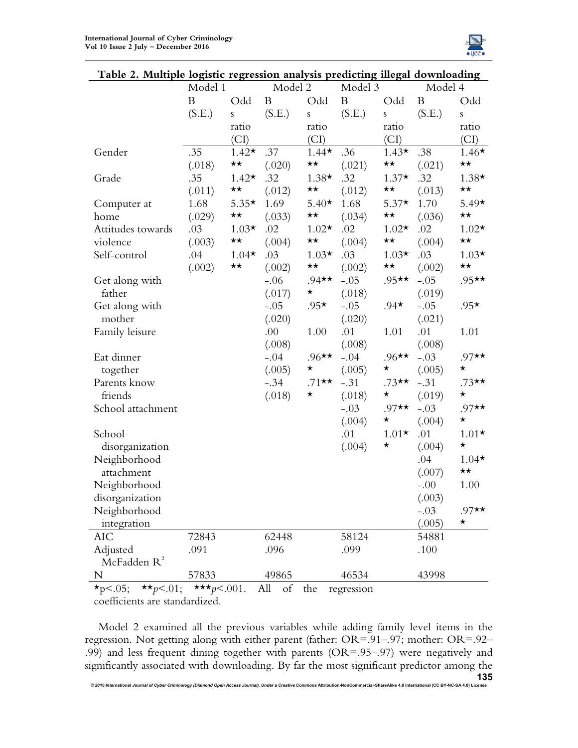

| 1 WOIV 20 STIMIDI | $10\frac{1}{2}$<br>Model 1 |              | Model 2     |              | preurenng megar uo winoaumg<br>Model 3 |              | Model 4  |              |
|-------------------|----------------------------|--------------|-------------|--------------|----------------------------------------|--------------|----------|--------------|
|                   | B                          | Odd          | $\mathbf B$ | Odd          | B                                      | Odd          | $\bf{B}$ | Odd          |
|                   | (S.E.)                     | ${\bf S}$    | (S.E.)      | ${\bf S}$    | (S.E.)                                 | $\mathbf S$  | (S.E.)   | ${\bf S}$    |
|                   |                            | ratio        |             | ratio        |                                        | ratio        |          | ratio        |
|                   |                            | (CI)         |             | (CI)         |                                        | (CI)         |          | (CI)         |
| Gender            | .35                        | $1.42*$      | .37         | $1.44*$      | .36                                    | $1.43*$      | .38      | $1.46*$      |
|                   | (.018)                     | $\star\star$ | (.020)      | $\star\star$ | (.021)                                 | $\star\star$ | (.021)   | $\star\star$ |
| Grade             | .35                        | $1.42*$      | .32         | $1.38*$      | .32                                    | $1.37*$      | .32      | $1.38*$      |
|                   | (.011)                     | $\star\star$ | (.012)      | $\star\star$ | (.012)                                 | ★★           | (.013)   | $\star\star$ |
| Computer at       | 1.68                       | $5.35*$      | 1.69        | $5.40*$      | 1.68                                   | $5.37*$      | 1.70     | $5.49*$      |
| home              | (.029)                     | $\star\star$ | (.033)      | $\star\star$ | (.034)                                 | ★★           | (.036)   | $\star\star$ |
| Attitudes towards | .03                        | $1.03*$      | .02         | $1.02*$      | .02                                    | $1.02*$      | .02      | $1.02*$      |
| violence          | (.003)                     | $\star\star$ | (.004)      | $\star\star$ | (.004)                                 | ★★           | (.004)   | ★★           |
| Self-control      | .04                        | $1.04*$      | .03         | $1.03*$      | .03                                    | $1.03*$      | .03      | $1.03*$      |
|                   | (.002)                     | $\star\star$ | (.002)      | $\star\star$ | (.002)                                 | $\star\star$ | (.002)   | $\star\star$ |
| Get along with    |                            |              | $-.06$      | $.94$ **     | $-.05$                                 | $.95**$      | $-.05$   | $.95**$      |
| father            |                            |              | (.017)      | $\star$      | (.018)                                 |              | (.019)   |              |
| Get along with    |                            |              | $-.05$      | $.95*$       | $-.05$                                 | $.94*$       | $-.05$   | $.95*$       |
| mother            |                            |              | (.020)      |              | (.020)                                 |              | (.021)   |              |
| Family leisure    |                            |              | .00         | 1.00         | .01                                    | 1.01         | .01      | 1.01         |
|                   |                            |              | (.008)      |              | (.008)                                 |              | (.008)   |              |
| Eat dinner        |                            |              | $-.04$      | $.96$ **     | $-.04$                                 | $.96$ **     | $-.03$   | $.97**$      |
| together          |                            |              | (.005)      | $\star$      | (.005)                                 | $\star$      | (.005)   | $\star$      |
| Parents know      |                            |              | $-.34$      | $.71**$      | $-.31$                                 | $.73**$      | $-.31$   | $.73**$      |
| friends           |                            |              | (.018)      | $\star$      | (.018)                                 | $\star$      | (.019)   | $\star$      |
| School attachment |                            |              |             |              | $-.03$                                 | $.97**$      | $-.03$   | $.97**$      |
|                   |                            |              |             |              | (.004)                                 | $\star$      | (.004)   | $\star$      |
| School            |                            |              |             |              | .01                                    | $1.01*$      | .01      | $1.01*$      |
| disorganization   |                            |              |             |              | (.004)                                 | $\star$      | (.004)   | $\star$      |
| Neighborhood      |                            |              |             |              |                                        |              | .04      | $1.04*$      |
| attachment        |                            |              |             |              |                                        |              | (.007)   | $\star\star$ |
| Neighborhood      |                            |              |             |              |                                        |              | $-.00$   | 1.00         |
| disorganization   |                            |              |             |              |                                        |              | (.003)   |              |
| Neighborhood      |                            |              |             |              |                                        |              | $-.03$   | $.97**$      |
| integration       |                            |              |             |              |                                        |              | (.005)   | $\star$      |
| <b>AIC</b>        | 72843                      |              | 62448       |              | 58124                                  |              | 54881    |              |
| Adjusted          | .091                       |              | .096        |              | .099                                   |              | .100     |              |
| McFadden $R^2$    |                            |              |             |              |                                        |              |          |              |
| N                 | 57833                      |              | 49865       |              | 46534                                  |              | 43998    |              |

## **Table 2. Multiple logistic regression analysis predicting illegal downloading**

 $\star p < .05$ ;  $\star \star p < .01$ ;  $\star \star \star p < .001$ . All of the regression coefficients are standardized.

Model 2 examined all the previous variables while adding family level items in the regression. Not getting along with either parent (father: OR=.91–.97; mother: OR=.92– .99) and less frequent dining together with parents (OR=.95–.97) were negatively and significantly associated with downloading. By far the most significant predictor among the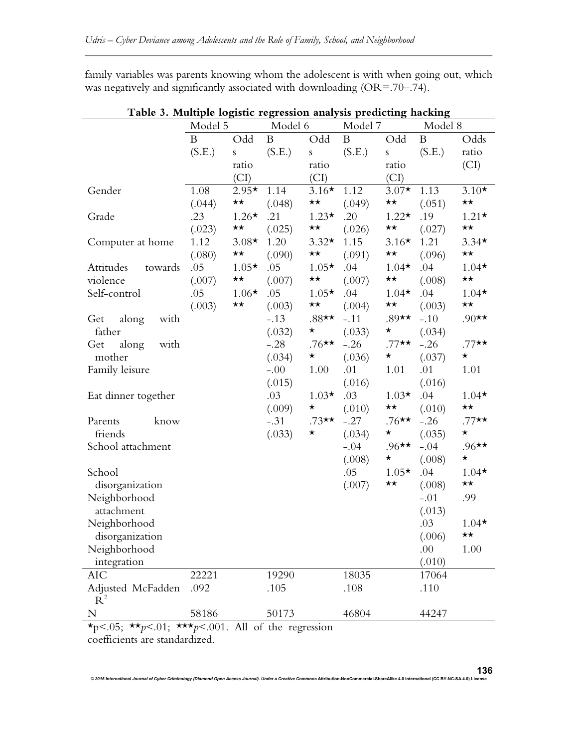family variables was parents knowing whom the adolescent is with when going out, which was negatively and significantly associated with downloading (OR=.70–.74).

| Odd<br>Odd<br>$\mathbf B$<br>$\bf{B}$<br>B<br>Odd<br>$\bf{B}$<br>Odds<br>(S.E.)<br>(S.E.)<br>(S.E.)<br>(S.E.)<br>ratio<br>${\bf S}$<br>${\bf S}$<br>${\bf S}$<br>$\left( \text{CI}\right)$<br>ratio<br>ratio<br>ratio<br>(CI)<br>(CI)<br>(CI)<br>$2.95*$<br>1.08<br>1.14<br>$3.16*$<br>1.12<br>$3.07*$<br>1.13<br>$3.10*$<br>Gender<br>$\star\star$<br>$\star\star$<br>$\star\star$<br>$\star\star$<br>(.049)<br>(.051)<br>(.044)<br>(.048)<br>.23<br>.21<br>.20<br>.19<br>$1.21*$<br>$1.26*$<br>$1.23*$<br>$1.22*$<br>Grade<br>$\star\star$<br>$\star\star$<br>$\star\star$<br>$\star\star$<br>(.023)<br>(.025)<br>(.026)<br>(.027)<br>1.12<br>1.20<br>$3.32*$<br>1.15<br>$3.16*$<br>1.21<br>$3.34*$<br>$3.08*$<br>Computer at home<br>$\star\star$<br>$\star\star$<br>$\star\star$<br>$\star\star$<br>(.096)<br>(.080)<br>(.090)<br>(.091)<br>.05<br>.04<br>$1.04*$<br>.04<br>$1.04*$<br>$1.05*$<br>.05<br>$1.05*$<br>Attitudes<br>towards<br>$\star\star$<br>$\star\star$<br>$\star\star$<br>$\star\star$<br>violence<br>(.007)<br>(.007)<br>(.007)<br>(.008)<br>Self-control<br>.05<br>$1.06*$<br>.05<br>$1.05*$<br>.04<br>$1.04*$<br>.04<br>$1.04*$<br>$\star\star$<br>$\star\star$<br>$\star\star$<br>(.003)<br>$\star\star$<br>(.003)<br>(.003)<br>(.004)<br>$.90**$<br>$.88**$<br>$-.11$<br>$.89**$<br>$-.10$<br>$-.13$<br>along<br>with<br>Get<br>(.032)<br>$\star$<br>(.033)<br>$\star$<br>(.034)<br>father<br>$.76**$<br>$.77**$<br>$.77**$<br>$-.28$<br>$-.26$<br>$-.26$<br>with<br>along<br>Get<br>$\star$<br>$\star$<br>$\star$<br>mother<br>(.034)<br>(.036)<br>(.037)<br>Family leisure<br>$-.00$<br>1.00<br>.01<br>1.01<br>.01<br>1.01<br>(.016)<br>(.016)<br>(.015)<br>$1.03*$<br>$1.03*$<br>.03<br>.03<br>.04<br>$1.04*$<br>Eat dinner together<br>$\star\star$<br>$\star$<br>$\star\star$<br>(.010)<br>(.009)<br>(.010)<br>$-.31$<br>$.73**$<br>$-.27$<br>$.76**$<br>$-.26$<br>$.77**$<br>Parents<br>know<br>$\star$<br>$\star$<br>(.033)<br>$\star$<br>(.035)<br>friends<br>(.034)<br>.96**<br>.96**<br>School attachment<br>$-.04$<br>$-.04$<br>$\star$<br>$\star$<br>(.008)<br>(.008)<br>.05<br>$1.05*$<br>.04<br>$1.04*$<br>School<br>$\star\star$<br>$\star\star$<br>(.007)<br>(.008)<br>disorganization<br>Neighborhood<br>$-.01$<br>.99<br>(.013)<br>attachment<br>.03<br>Neighborhood<br>$1.04*$<br>(.006)<br>★★<br>disorganization<br>Neighborhood<br>.00<br>1.00<br>(.010)<br>integration<br>19290<br>18035<br><b>AIC</b><br>22221<br>17064<br>.105<br>.108<br>.110<br>Adjusted McFadden<br>.092<br>$R^2$<br>58186<br>50173<br>46804<br>44247<br>N | Model 5 |  | Model 6 |  | Model 7 |  | Model 8 |  |
|----------------------------------------------------------------------------------------------------------------------------------------------------------------------------------------------------------------------------------------------------------------------------------------------------------------------------------------------------------------------------------------------------------------------------------------------------------------------------------------------------------------------------------------------------------------------------------------------------------------------------------------------------------------------------------------------------------------------------------------------------------------------------------------------------------------------------------------------------------------------------------------------------------------------------------------------------------------------------------------------------------------------------------------------------------------------------------------------------------------------------------------------------------------------------------------------------------------------------------------------------------------------------------------------------------------------------------------------------------------------------------------------------------------------------------------------------------------------------------------------------------------------------------------------------------------------------------------------------------------------------------------------------------------------------------------------------------------------------------------------------------------------------------------------------------------------------------------------------------------------------------------------------------------------------------------------------------------------------------------------------------------------------------------------------------------------------------------------------------------------------------------------------------------------------------------------------------------------------------------------------------------------------------------------------------------------------------------------------------------------------------------------------------------------------------------------------------------------------------------------------------------------------------------------------------------------------------|---------|--|---------|--|---------|--|---------|--|
|                                                                                                                                                                                                                                                                                                                                                                                                                                                                                                                                                                                                                                                                                                                                                                                                                                                                                                                                                                                                                                                                                                                                                                                                                                                                                                                                                                                                                                                                                                                                                                                                                                                                                                                                                                                                                                                                                                                                                                                                                                                                                                                                                                                                                                                                                                                                                                                                                                                                                                                                                                                  |         |  |         |  |         |  |         |  |
|                                                                                                                                                                                                                                                                                                                                                                                                                                                                                                                                                                                                                                                                                                                                                                                                                                                                                                                                                                                                                                                                                                                                                                                                                                                                                                                                                                                                                                                                                                                                                                                                                                                                                                                                                                                                                                                                                                                                                                                                                                                                                                                                                                                                                                                                                                                                                                                                                                                                                                                                                                                  |         |  |         |  |         |  |         |  |
|                                                                                                                                                                                                                                                                                                                                                                                                                                                                                                                                                                                                                                                                                                                                                                                                                                                                                                                                                                                                                                                                                                                                                                                                                                                                                                                                                                                                                                                                                                                                                                                                                                                                                                                                                                                                                                                                                                                                                                                                                                                                                                                                                                                                                                                                                                                                                                                                                                                                                                                                                                                  |         |  |         |  |         |  |         |  |
|                                                                                                                                                                                                                                                                                                                                                                                                                                                                                                                                                                                                                                                                                                                                                                                                                                                                                                                                                                                                                                                                                                                                                                                                                                                                                                                                                                                                                                                                                                                                                                                                                                                                                                                                                                                                                                                                                                                                                                                                                                                                                                                                                                                                                                                                                                                                                                                                                                                                                                                                                                                  |         |  |         |  |         |  |         |  |
|                                                                                                                                                                                                                                                                                                                                                                                                                                                                                                                                                                                                                                                                                                                                                                                                                                                                                                                                                                                                                                                                                                                                                                                                                                                                                                                                                                                                                                                                                                                                                                                                                                                                                                                                                                                                                                                                                                                                                                                                                                                                                                                                                                                                                                                                                                                                                                                                                                                                                                                                                                                  |         |  |         |  |         |  |         |  |
|                                                                                                                                                                                                                                                                                                                                                                                                                                                                                                                                                                                                                                                                                                                                                                                                                                                                                                                                                                                                                                                                                                                                                                                                                                                                                                                                                                                                                                                                                                                                                                                                                                                                                                                                                                                                                                                                                                                                                                                                                                                                                                                                                                                                                                                                                                                                                                                                                                                                                                                                                                                  |         |  |         |  |         |  |         |  |
|                                                                                                                                                                                                                                                                                                                                                                                                                                                                                                                                                                                                                                                                                                                                                                                                                                                                                                                                                                                                                                                                                                                                                                                                                                                                                                                                                                                                                                                                                                                                                                                                                                                                                                                                                                                                                                                                                                                                                                                                                                                                                                                                                                                                                                                                                                                                                                                                                                                                                                                                                                                  |         |  |         |  |         |  |         |  |
|                                                                                                                                                                                                                                                                                                                                                                                                                                                                                                                                                                                                                                                                                                                                                                                                                                                                                                                                                                                                                                                                                                                                                                                                                                                                                                                                                                                                                                                                                                                                                                                                                                                                                                                                                                                                                                                                                                                                                                                                                                                                                                                                                                                                                                                                                                                                                                                                                                                                                                                                                                                  |         |  |         |  |         |  |         |  |
|                                                                                                                                                                                                                                                                                                                                                                                                                                                                                                                                                                                                                                                                                                                                                                                                                                                                                                                                                                                                                                                                                                                                                                                                                                                                                                                                                                                                                                                                                                                                                                                                                                                                                                                                                                                                                                                                                                                                                                                                                                                                                                                                                                                                                                                                                                                                                                                                                                                                                                                                                                                  |         |  |         |  |         |  |         |  |
|                                                                                                                                                                                                                                                                                                                                                                                                                                                                                                                                                                                                                                                                                                                                                                                                                                                                                                                                                                                                                                                                                                                                                                                                                                                                                                                                                                                                                                                                                                                                                                                                                                                                                                                                                                                                                                                                                                                                                                                                                                                                                                                                                                                                                                                                                                                                                                                                                                                                                                                                                                                  |         |  |         |  |         |  |         |  |
|                                                                                                                                                                                                                                                                                                                                                                                                                                                                                                                                                                                                                                                                                                                                                                                                                                                                                                                                                                                                                                                                                                                                                                                                                                                                                                                                                                                                                                                                                                                                                                                                                                                                                                                                                                                                                                                                                                                                                                                                                                                                                                                                                                                                                                                                                                                                                                                                                                                                                                                                                                                  |         |  |         |  |         |  |         |  |
|                                                                                                                                                                                                                                                                                                                                                                                                                                                                                                                                                                                                                                                                                                                                                                                                                                                                                                                                                                                                                                                                                                                                                                                                                                                                                                                                                                                                                                                                                                                                                                                                                                                                                                                                                                                                                                                                                                                                                                                                                                                                                                                                                                                                                                                                                                                                                                                                                                                                                                                                                                                  |         |  |         |  |         |  |         |  |
|                                                                                                                                                                                                                                                                                                                                                                                                                                                                                                                                                                                                                                                                                                                                                                                                                                                                                                                                                                                                                                                                                                                                                                                                                                                                                                                                                                                                                                                                                                                                                                                                                                                                                                                                                                                                                                                                                                                                                                                                                                                                                                                                                                                                                                                                                                                                                                                                                                                                                                                                                                                  |         |  |         |  |         |  |         |  |
|                                                                                                                                                                                                                                                                                                                                                                                                                                                                                                                                                                                                                                                                                                                                                                                                                                                                                                                                                                                                                                                                                                                                                                                                                                                                                                                                                                                                                                                                                                                                                                                                                                                                                                                                                                                                                                                                                                                                                                                                                                                                                                                                                                                                                                                                                                                                                                                                                                                                                                                                                                                  |         |  |         |  |         |  |         |  |
|                                                                                                                                                                                                                                                                                                                                                                                                                                                                                                                                                                                                                                                                                                                                                                                                                                                                                                                                                                                                                                                                                                                                                                                                                                                                                                                                                                                                                                                                                                                                                                                                                                                                                                                                                                                                                                                                                                                                                                                                                                                                                                                                                                                                                                                                                                                                                                                                                                                                                                                                                                                  |         |  |         |  |         |  |         |  |
|                                                                                                                                                                                                                                                                                                                                                                                                                                                                                                                                                                                                                                                                                                                                                                                                                                                                                                                                                                                                                                                                                                                                                                                                                                                                                                                                                                                                                                                                                                                                                                                                                                                                                                                                                                                                                                                                                                                                                                                                                                                                                                                                                                                                                                                                                                                                                                                                                                                                                                                                                                                  |         |  |         |  |         |  |         |  |
|                                                                                                                                                                                                                                                                                                                                                                                                                                                                                                                                                                                                                                                                                                                                                                                                                                                                                                                                                                                                                                                                                                                                                                                                                                                                                                                                                                                                                                                                                                                                                                                                                                                                                                                                                                                                                                                                                                                                                                                                                                                                                                                                                                                                                                                                                                                                                                                                                                                                                                                                                                                  |         |  |         |  |         |  |         |  |
|                                                                                                                                                                                                                                                                                                                                                                                                                                                                                                                                                                                                                                                                                                                                                                                                                                                                                                                                                                                                                                                                                                                                                                                                                                                                                                                                                                                                                                                                                                                                                                                                                                                                                                                                                                                                                                                                                                                                                                                                                                                                                                                                                                                                                                                                                                                                                                                                                                                                                                                                                                                  |         |  |         |  |         |  |         |  |
|                                                                                                                                                                                                                                                                                                                                                                                                                                                                                                                                                                                                                                                                                                                                                                                                                                                                                                                                                                                                                                                                                                                                                                                                                                                                                                                                                                                                                                                                                                                                                                                                                                                                                                                                                                                                                                                                                                                                                                                                                                                                                                                                                                                                                                                                                                                                                                                                                                                                                                                                                                                  |         |  |         |  |         |  |         |  |
|                                                                                                                                                                                                                                                                                                                                                                                                                                                                                                                                                                                                                                                                                                                                                                                                                                                                                                                                                                                                                                                                                                                                                                                                                                                                                                                                                                                                                                                                                                                                                                                                                                                                                                                                                                                                                                                                                                                                                                                                                                                                                                                                                                                                                                                                                                                                                                                                                                                                                                                                                                                  |         |  |         |  |         |  |         |  |
|                                                                                                                                                                                                                                                                                                                                                                                                                                                                                                                                                                                                                                                                                                                                                                                                                                                                                                                                                                                                                                                                                                                                                                                                                                                                                                                                                                                                                                                                                                                                                                                                                                                                                                                                                                                                                                                                                                                                                                                                                                                                                                                                                                                                                                                                                                                                                                                                                                                                                                                                                                                  |         |  |         |  |         |  |         |  |
|                                                                                                                                                                                                                                                                                                                                                                                                                                                                                                                                                                                                                                                                                                                                                                                                                                                                                                                                                                                                                                                                                                                                                                                                                                                                                                                                                                                                                                                                                                                                                                                                                                                                                                                                                                                                                                                                                                                                                                                                                                                                                                                                                                                                                                                                                                                                                                                                                                                                                                                                                                                  |         |  |         |  |         |  |         |  |
|                                                                                                                                                                                                                                                                                                                                                                                                                                                                                                                                                                                                                                                                                                                                                                                                                                                                                                                                                                                                                                                                                                                                                                                                                                                                                                                                                                                                                                                                                                                                                                                                                                                                                                                                                                                                                                                                                                                                                                                                                                                                                                                                                                                                                                                                                                                                                                                                                                                                                                                                                                                  |         |  |         |  |         |  |         |  |
|                                                                                                                                                                                                                                                                                                                                                                                                                                                                                                                                                                                                                                                                                                                                                                                                                                                                                                                                                                                                                                                                                                                                                                                                                                                                                                                                                                                                                                                                                                                                                                                                                                                                                                                                                                                                                                                                                                                                                                                                                                                                                                                                                                                                                                                                                                                                                                                                                                                                                                                                                                                  |         |  |         |  |         |  |         |  |
|                                                                                                                                                                                                                                                                                                                                                                                                                                                                                                                                                                                                                                                                                                                                                                                                                                                                                                                                                                                                                                                                                                                                                                                                                                                                                                                                                                                                                                                                                                                                                                                                                                                                                                                                                                                                                                                                                                                                                                                                                                                                                                                                                                                                                                                                                                                                                                                                                                                                                                                                                                                  |         |  |         |  |         |  |         |  |
|                                                                                                                                                                                                                                                                                                                                                                                                                                                                                                                                                                                                                                                                                                                                                                                                                                                                                                                                                                                                                                                                                                                                                                                                                                                                                                                                                                                                                                                                                                                                                                                                                                                                                                                                                                                                                                                                                                                                                                                                                                                                                                                                                                                                                                                                                                                                                                                                                                                                                                                                                                                  |         |  |         |  |         |  |         |  |
|                                                                                                                                                                                                                                                                                                                                                                                                                                                                                                                                                                                                                                                                                                                                                                                                                                                                                                                                                                                                                                                                                                                                                                                                                                                                                                                                                                                                                                                                                                                                                                                                                                                                                                                                                                                                                                                                                                                                                                                                                                                                                                                                                                                                                                                                                                                                                                                                                                                                                                                                                                                  |         |  |         |  |         |  |         |  |
|                                                                                                                                                                                                                                                                                                                                                                                                                                                                                                                                                                                                                                                                                                                                                                                                                                                                                                                                                                                                                                                                                                                                                                                                                                                                                                                                                                                                                                                                                                                                                                                                                                                                                                                                                                                                                                                                                                                                                                                                                                                                                                                                                                                                                                                                                                                                                                                                                                                                                                                                                                                  |         |  |         |  |         |  |         |  |
|                                                                                                                                                                                                                                                                                                                                                                                                                                                                                                                                                                                                                                                                                                                                                                                                                                                                                                                                                                                                                                                                                                                                                                                                                                                                                                                                                                                                                                                                                                                                                                                                                                                                                                                                                                                                                                                                                                                                                                                                                                                                                                                                                                                                                                                                                                                                                                                                                                                                                                                                                                                  |         |  |         |  |         |  |         |  |
|                                                                                                                                                                                                                                                                                                                                                                                                                                                                                                                                                                                                                                                                                                                                                                                                                                                                                                                                                                                                                                                                                                                                                                                                                                                                                                                                                                                                                                                                                                                                                                                                                                                                                                                                                                                                                                                                                                                                                                                                                                                                                                                                                                                                                                                                                                                                                                                                                                                                                                                                                                                  |         |  |         |  |         |  |         |  |
|                                                                                                                                                                                                                                                                                                                                                                                                                                                                                                                                                                                                                                                                                                                                                                                                                                                                                                                                                                                                                                                                                                                                                                                                                                                                                                                                                                                                                                                                                                                                                                                                                                                                                                                                                                                                                                                                                                                                                                                                                                                                                                                                                                                                                                                                                                                                                                                                                                                                                                                                                                                  |         |  |         |  |         |  |         |  |
|                                                                                                                                                                                                                                                                                                                                                                                                                                                                                                                                                                                                                                                                                                                                                                                                                                                                                                                                                                                                                                                                                                                                                                                                                                                                                                                                                                                                                                                                                                                                                                                                                                                                                                                                                                                                                                                                                                                                                                                                                                                                                                                                                                                                                                                                                                                                                                                                                                                                                                                                                                                  |         |  |         |  |         |  |         |  |
|                                                                                                                                                                                                                                                                                                                                                                                                                                                                                                                                                                                                                                                                                                                                                                                                                                                                                                                                                                                                                                                                                                                                                                                                                                                                                                                                                                                                                                                                                                                                                                                                                                                                                                                                                                                                                                                                                                                                                                                                                                                                                                                                                                                                                                                                                                                                                                                                                                                                                                                                                                                  |         |  |         |  |         |  |         |  |
|                                                                                                                                                                                                                                                                                                                                                                                                                                                                                                                                                                                                                                                                                                                                                                                                                                                                                                                                                                                                                                                                                                                                                                                                                                                                                                                                                                                                                                                                                                                                                                                                                                                                                                                                                                                                                                                                                                                                                                                                                                                                                                                                                                                                                                                                                                                                                                                                                                                                                                                                                                                  |         |  |         |  |         |  |         |  |
|                                                                                                                                                                                                                                                                                                                                                                                                                                                                                                                                                                                                                                                                                                                                                                                                                                                                                                                                                                                                                                                                                                                                                                                                                                                                                                                                                                                                                                                                                                                                                                                                                                                                                                                                                                                                                                                                                                                                                                                                                                                                                                                                                                                                                                                                                                                                                                                                                                                                                                                                                                                  |         |  |         |  |         |  |         |  |
|                                                                                                                                                                                                                                                                                                                                                                                                                                                                                                                                                                                                                                                                                                                                                                                                                                                                                                                                                                                                                                                                                                                                                                                                                                                                                                                                                                                                                                                                                                                                                                                                                                                                                                                                                                                                                                                                                                                                                                                                                                                                                                                                                                                                                                                                                                                                                                                                                                                                                                                                                                                  |         |  |         |  |         |  |         |  |
|                                                                                                                                                                                                                                                                                                                                                                                                                                                                                                                                                                                                                                                                                                                                                                                                                                                                                                                                                                                                                                                                                                                                                                                                                                                                                                                                                                                                                                                                                                                                                                                                                                                                                                                                                                                                                                                                                                                                                                                                                                                                                                                                                                                                                                                                                                                                                                                                                                                                                                                                                                                  |         |  |         |  |         |  |         |  |

**Table 3. Multiple logistic regression analysis predicting hacking** 

 $\star$ p<.05;  $\star \star$ *p*<.01;  $\star \star \star$ *p*<.001. All of the regression coefficients are standardized.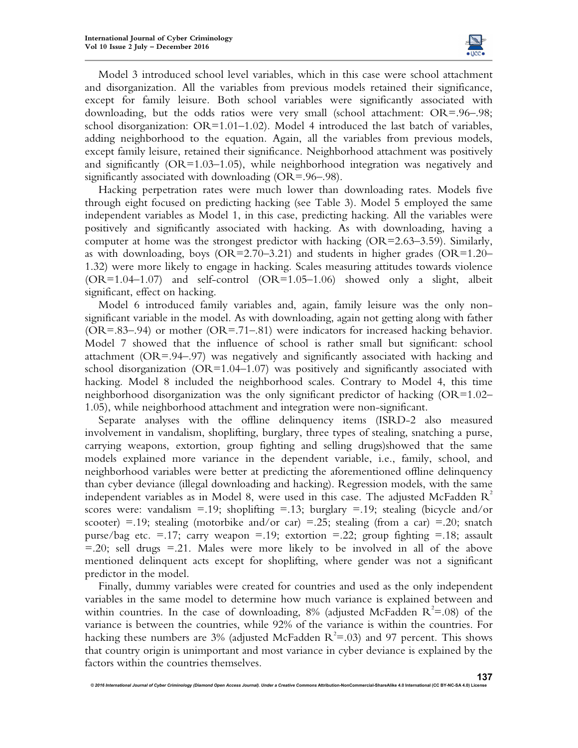

Model 3 introduced school level variables, which in this case were school attachment and disorganization. All the variables from previous models retained their significance, except for family leisure. Both school variables were significantly associated with downloading, but the odds ratios were very small (school attachment: OR=.96–.98; school disorganization:  $OR=1.01-1.02$ ). Model 4 introduced the last batch of variables, adding neighborhood to the equation. Again, all the variables from previous models, except family leisure, retained their significance. Neighborhood attachment was positively and significantly  $(OR=1.03-1.05)$ , while neighborhood integration was negatively and significantly associated with downloading (OR=.96–.98).

Hacking perpetration rates were much lower than downloading rates. Models five through eight focused on predicting hacking (see Table 3). Model 5 employed the same independent variables as Model 1, in this case, predicting hacking. All the variables were positively and significantly associated with hacking. As with downloading, having a computer at home was the strongest predictor with hacking (OR=2.63–3.59). Similarly, as with downloading, boys  $(OR=2.70-3.21)$  and students in higher grades  $(OR=1.20-$ 1.32) were more likely to engage in hacking. Scales measuring attitudes towards violence  $(OR=1.04-1.07)$  and self-control  $(OR=1.05-1.06)$  showed only a slight, albeit significant, effect on hacking.

Model 6 introduced family variables and, again, family leisure was the only nonsignificant variable in the model. As with downloading, again not getting along with father (OR=.83–.94) or mother (OR=.71–.81) were indicators for increased hacking behavior. Model 7 showed that the influence of school is rather small but significant: school attachment (OR=.94–.97) was negatively and significantly associated with hacking and school disorganization  $(OR=1.04-1.07)$  was positively and significantly associated with hacking. Model 8 included the neighborhood scales. Contrary to Model 4, this time neighborhood disorganization was the only significant predictor of hacking (OR=1.02– 1.05), while neighborhood attachment and integration were non-significant.

Separate analyses with the offline delinquency items (ISRD-2 also measured involvement in vandalism, shoplifting, burglary, three types of stealing, snatching a purse, carrying weapons, extortion, group fighting and selling drugs)showed that the same models explained more variance in the dependent variable, i.e., family, school, and neighborhood variables were better at predicting the aforementioned offline delinquency than cyber deviance (illegal downloading and hacking). Regression models, with the same independent variables as in Model 8, were used in this case. The adjusted McFadden  $R^2$ scores were: vandalism =.19; shoplifting =.13; burglary =.19; stealing (bicycle and/or scooter) =.19; stealing (motorbike and/or car) =.25; stealing (from a car) =.20; snatch purse/bag etc.  $=$  17; carry weapon  $=$  19; extortion  $=$  22; group fighting  $=$  18; assault  $=$  20; sell drugs  $=$  21. Males were more likely to be involved in all of the above mentioned delinquent acts except for shoplifting, where gender was not a significant predictor in the model.

Finally, dummy variables were created for countries and used as the only independent variables in the same model to determine how much variance is explained between and within countries. In the case of downloading, 8% (adjusted McFadden  $R^2 = .08$ ) of the variance is between the countries, while 92% of the variance is within the countries. For hacking these numbers are 3% (adjusted McFadden  $R^2 = .03$ ) and 97 percent. This shows that country origin is unimportant and most variance in cyber deviance is explained by the factors within the countries themselves.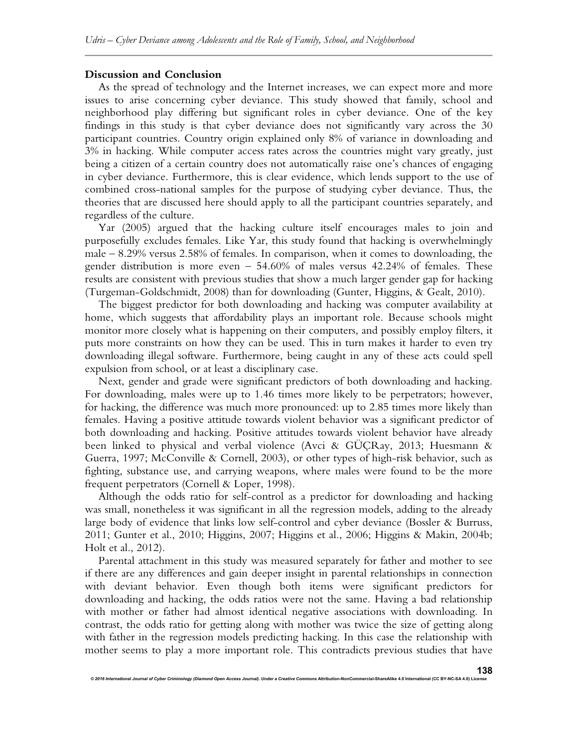#### **Discussion and Conclusion**

As the spread of technology and the Internet increases, we can expect more and more issues to arise concerning cyber deviance. This study showed that family, school and neighborhood play differing but significant roles in cyber deviance. One of the key findings in this study is that cyber deviance does not significantly vary across the 30 participant countries. Country origin explained only 8% of variance in downloading and 3% in hacking. While computer access rates across the countries might vary greatly, just being a citizen of a certain country does not automatically raise one's chances of engaging in cyber deviance. Furthermore, this is clear evidence, which lends support to the use of combined cross-national samples for the purpose of studying cyber deviance. Thus, the theories that are discussed here should apply to all the participant countries separately, and regardless of the culture.

Yar (2005) argued that the hacking culture itself encourages males to join and purposefully excludes females. Like Yar, this study found that hacking is overwhelmingly male – 8.29% versus 2.58% of females. In comparison, when it comes to downloading, the gender distribution is more even – 54.60% of males versus 42.24% of females. These results are consistent with previous studies that show a much larger gender gap for hacking (Turgeman-Goldschmidt, 2008) than for downloading (Gunter, Higgins, & Gealt, 2010).

The biggest predictor for both downloading and hacking was computer availability at home, which suggests that affordability plays an important role. Because schools might monitor more closely what is happening on their computers, and possibly employ filters, it puts more constraints on how they can be used. This in turn makes it harder to even try downloading illegal software. Furthermore, being caught in any of these acts could spell expulsion from school, or at least a disciplinary case.

Next, gender and grade were significant predictors of both downloading and hacking. For downloading, males were up to 1.46 times more likely to be perpetrators; however, for hacking, the difference was much more pronounced: up to 2.85 times more likely than females. Having a positive attitude towards violent behavior was a significant predictor of both downloading and hacking. Positive attitudes towards violent behavior have already been linked to physical and verbal violence (Avci & GÜÇRay, 2013; Huesmann & Guerra, 1997; McConville & Cornell, 2003), or other types of high-risk behavior, such as fighting, substance use, and carrying weapons, where males were found to be the more frequent perpetrators (Cornell & Loper, 1998).

Although the odds ratio for self-control as a predictor for downloading and hacking was small, nonetheless it was significant in all the regression models, adding to the already large body of evidence that links low self-control and cyber deviance (Bossler & Burruss, 2011; Gunter et al., 2010; Higgins, 2007; Higgins et al., 2006; Higgins & Makin, 2004b; Holt et al., 2012).

Parental attachment in this study was measured separately for father and mother to see if there are any differences and gain deeper insight in parental relationships in connection with deviant behavior. Even though both items were significant predictors for downloading and hacking, the odds ratios were not the same. Having a bad relationship with mother or father had almost identical negative associations with downloading. In contrast, the odds ratio for getting along with mother was twice the size of getting along with father in the regression models predicting hacking. In this case the relationship with mother seems to play a more important role. This contradicts previous studies that have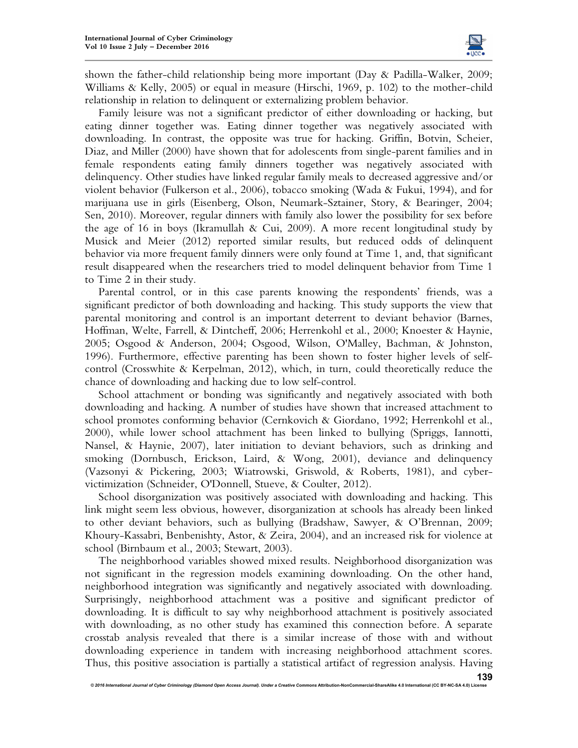

shown the father-child relationship being more important (Day & Padilla-Walker, 2009; Williams & Kelly, 2005) or equal in measure (Hirschi, 1969, p. 102) to the mother-child relationship in relation to delinquent or externalizing problem behavior.

Family leisure was not a significant predictor of either downloading or hacking, but eating dinner together was. Eating dinner together was negatively associated with downloading. In contrast, the opposite was true for hacking. Griffin, Botvin, Scheier, Diaz, and Miller (2000) have shown that for adolescents from single-parent families and in female respondents eating family dinners together was negatively associated with delinquency. Other studies have linked regular family meals to decreased aggressive and/or violent behavior (Fulkerson et al., 2006), tobacco smoking (Wada & Fukui, 1994), and for marijuana use in girls (Eisenberg, Olson, Neumark-Sztainer, Story, & Bearinger, 2004; Sen, 2010). Moreover, regular dinners with family also lower the possibility for sex before the age of 16 in boys (Ikramullah & Cui, 2009). A more recent longitudinal study by Musick and Meier (2012) reported similar results, but reduced odds of delinquent behavior via more frequent family dinners were only found at Time 1, and, that significant result disappeared when the researchers tried to model delinquent behavior from Time 1 to Time 2 in their study.

Parental control, or in this case parents knowing the respondents' friends, was a significant predictor of both downloading and hacking. This study supports the view that parental monitoring and control is an important deterrent to deviant behavior (Barnes, Hoffman, Welte, Farrell, & Dintcheff, 2006; Herrenkohl et al., 2000; Knoester & Haynie, 2005; Osgood & Anderson, 2004; Osgood, Wilson, O'Malley, Bachman, & Johnston, 1996). Furthermore, effective parenting has been shown to foster higher levels of selfcontrol (Crosswhite & Kerpelman, 2012), which, in turn, could theoretically reduce the chance of downloading and hacking due to low self-control.

School attachment or bonding was significantly and negatively associated with both downloading and hacking. A number of studies have shown that increased attachment to school promotes conforming behavior (Cernkovich & Giordano, 1992; Herrenkohl et al., 2000), while lower school attachment has been linked to bullying (Spriggs, Iannotti, Nansel, & Haynie, 2007), later initiation to deviant behaviors, such as drinking and smoking (Dornbusch, Erickson, Laird, & Wong, 2001), deviance and delinquency (Vazsonyi & Pickering, 2003; Wiatrowski, Griswold, & Roberts, 1981), and cybervictimization (Schneider, O'Donnell, Stueve, & Coulter, 2012).

School disorganization was positively associated with downloading and hacking. This link might seem less obvious, however, disorganization at schools has already been linked to other deviant behaviors, such as bullying (Bradshaw, Sawyer, & O'Brennan, 2009; Khoury-Kassabri, Benbenishty, Astor, & Zeira, 2004), and an increased risk for violence at school (Birnbaum et al., 2003; Stewart, 2003).

The neighborhood variables showed mixed results. Neighborhood disorganization was not significant in the regression models examining downloading. On the other hand, neighborhood integration was significantly and negatively associated with downloading. Surprisingly, neighborhood attachment was a positive and significant predictor of downloading. It is difficult to say why neighborhood attachment is positively associated with downloading, as no other study has examined this connection before. A separate crosstab analysis revealed that there is a similar increase of those with and without downloading experience in tandem with increasing neighborhood attachment scores. Thus, this positive association is partially a statistical artifact of regression analysis. Having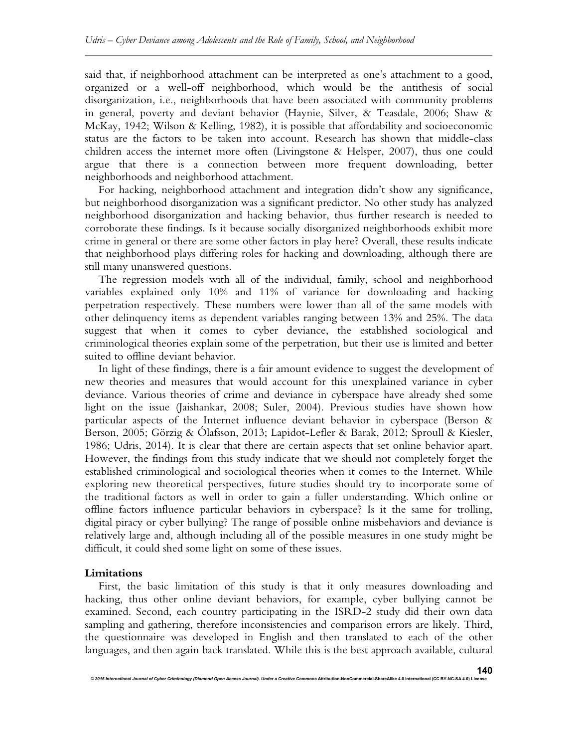said that, if neighborhood attachment can be interpreted as one's attachment to a good, organized or a well-off neighborhood, which would be the antithesis of social disorganization, i.e., neighborhoods that have been associated with community problems in general, poverty and deviant behavior (Haynie, Silver, & Teasdale, 2006; Shaw & McKay, 1942; Wilson & Kelling, 1982), it is possible that affordability and socioeconomic status are the factors to be taken into account. Research has shown that middle-class children access the internet more often (Livingstone & Helsper, 2007), thus one could argue that there is a connection between more frequent downloading, better neighborhoods and neighborhood attachment.

For hacking, neighborhood attachment and integration didn't show any significance, but neighborhood disorganization was a significant predictor. No other study has analyzed neighborhood disorganization and hacking behavior, thus further research is needed to corroborate these findings. Is it because socially disorganized neighborhoods exhibit more crime in general or there are some other factors in play here? Overall, these results indicate that neighborhood plays differing roles for hacking and downloading, although there are still many unanswered questions.

The regression models with all of the individual, family, school and neighborhood variables explained only 10% and 11% of variance for downloading and hacking perpetration respectively. These numbers were lower than all of the same models with other delinquency items as dependent variables ranging between 13% and 25%. The data suggest that when it comes to cyber deviance, the established sociological and criminological theories explain some of the perpetration, but their use is limited and better suited to offline deviant behavior.

In light of these findings, there is a fair amount evidence to suggest the development of new theories and measures that would account for this unexplained variance in cyber deviance. Various theories of crime and deviance in cyberspace have already shed some light on the issue (Jaishankar, 2008; Suler, 2004). Previous studies have shown how particular aspects of the Internet influence deviant behavior in cyberspace (Berson & Berson, 2005; Görzig & Ólafsson, 2013; Lapidot-Lefler & Barak, 2012; Sproull & Kiesler, 1986; Udris, 2014). It is clear that there are certain aspects that set online behavior apart. However, the findings from this study indicate that we should not completely forget the established criminological and sociological theories when it comes to the Internet. While exploring new theoretical perspectives, future studies should try to incorporate some of the traditional factors as well in order to gain a fuller understanding. Which online or offline factors influence particular behaviors in cyberspace? Is it the same for trolling, digital piracy or cyber bullying? The range of possible online misbehaviors and deviance is relatively large and, although including all of the possible measures in one study might be difficult, it could shed some light on some of these issues.

#### **Limitations**

First, the basic limitation of this study is that it only measures downloading and hacking, thus other online deviant behaviors, for example, cyber bullying cannot be examined. Second, each country participating in the ISRD-2 study did their own data sampling and gathering, therefore inconsistencies and comparison errors are likely. Third, the questionnaire was developed in English and then translated to each of the other languages, and then again back translated. While this is the best approach available, cultural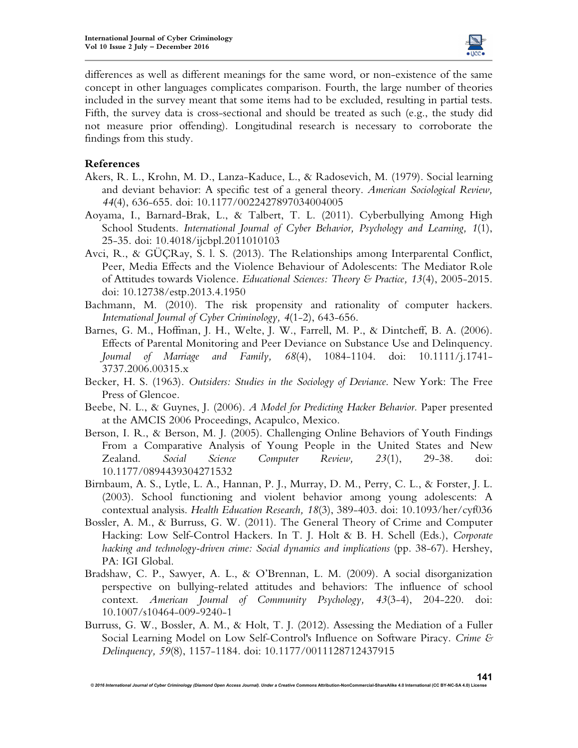

differences as well as different meanings for the same word, or non-existence of the same concept in other languages complicates comparison. Fourth, the large number of theories included in the survey meant that some items had to be excluded, resulting in partial tests. Fifth, the survey data is cross-sectional and should be treated as such (e.g., the study did not measure prior offending). Longitudinal research is necessary to corroborate the findings from this study.

# **References**

- Akers, R. L., Krohn, M. D., Lanza-Kaduce, L., & Radosevich, M. (1979). Social learning and deviant behavior: A specific test of a general theory. *American Sociological Review, 44*(4), 636-655. doi: 10.1177/0022427897034004005
- Aoyama, I., Barnard-Brak, L., & Talbert, T. L. (2011). Cyberbullying Among High School Students. *International Journal of Cyber Behavior, Psychology and Learning, 1*(1), 25-35. doi: 10.4018/ijcbpl.2011010103
- Avci, R., & GÜÇRay, S. l. S. (2013). The Relationships among Interparental Conflict, Peer, Media Effects and the Violence Behaviour of Adolescents: The Mediator Role of Attitudes towards Violence. *Educational Sciences: Theory & Practice, 13*(4), 2005-2015. doi: 10.12738/estp.2013.4.1950
- Bachmann, M. (2010). The risk propensity and rationality of computer hackers. *International Journal of Cyber Criminology, 4*(1-2), 643-656.
- Barnes, G. M., Hoffman, J. H., Welte, J. W., Farrell, M. P., & Dintcheff, B. A. (2006). Effects of Parental Monitoring and Peer Deviance on Substance Use and Delinquency. *Journal of Marriage and Family, 68*(4), 1084-1104. doi: 10.1111/j.1741- 3737.2006.00315.x
- Becker, H. S. (1963). *Outsiders: Studies in the Sociology of Deviance*. New York: The Free Press of Glencoe.
- Beebe, N. L., & Guynes, J. (2006). *A Model for Predicting Hacker Behavior.* Paper presented at the AMCIS 2006 Proceedings, Acapulco, Mexico.
- Berson, I. R., & Berson, M. J. (2005). Challenging Online Behaviors of Youth Findings From a Comparative Analysis of Young People in the United States and New Zealand. *Social Science Computer Review, 23*(1), 29-38. doi: 10.1177/0894439304271532
- Birnbaum, A. S., Lytle, L. A., Hannan, P. J., Murray, D. M., Perry, C. L., & Forster, J. L. (2003). School functioning and violent behavior among young adolescents: A contextual analysis. *Health Education Research, 18*(3), 389-403. doi: 10.1093/her/cyf036
- Bossler, A. M., & Burruss, G. W. (2011). The General Theory of Crime and Computer Hacking: Low Self-Control Hackers. In T. J. Holt & B. H. Schell (Eds.), *Corporate hacking and technology-driven crime: Social dynamics and implications* (pp. 38-67). Hershey, PA: IGI Global.
- Bradshaw, C. P., Sawyer, A. L., & O'Brennan, L. M. (2009). A social disorganization perspective on bullying-related attitudes and behaviors: The influence of school context. *American Journal of Community Psychology, 43*(3-4), 204-220. doi: 10.1007/s10464-009-9240-1
- Burruss, G. W., Bossler, A. M., & Holt, T. J. (2012). Assessing the Mediation of a Fuller Social Learning Model on Low Self-Control's Influence on Software Piracy. *Crime & Delinquency, 59*(8), 1157-1184. doi: 10.1177/0011128712437915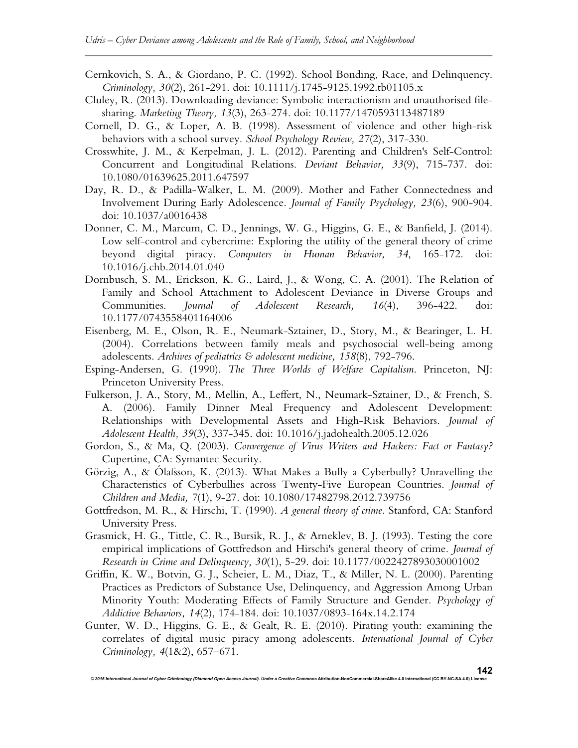- Cernkovich, S. A., & Giordano, P. C. (1992). School Bonding, Race, and Delinquency. *Criminology, 30*(2), 261-291. doi: 10.1111/j.1745-9125.1992.tb01105.x
- Cluley, R. (2013). Downloading deviance: Symbolic interactionism and unauthorised filesharing. *Marketing Theory, 13*(3), 263-274. doi: 10.1177/1470593113487189
- Cornell, D. G., & Loper, A. B. (1998). Assessment of violence and other high-risk behaviors with a school survey. *School Psychology Review, 27*(2), 317-330.
- Crosswhite, J. M., & Kerpelman, J. L. (2012). Parenting and Children's Self-Control: Concurrent and Longitudinal Relations. *Deviant Behavior, 33*(9), 715-737. doi: 10.1080/01639625.2011.647597
- Day, R. D., & Padilla-Walker, L. M. (2009). Mother and Father Connectedness and Involvement During Early Adolescence. *Journal of Family Psychology, 23*(6), 900-904. doi: 10.1037/a0016438
- Donner, C. M., Marcum, C. D., Jennings, W. G., Higgins, G. E., & Banfield, J. (2014). Low self-control and cybercrime: Exploring the utility of the general theory of crime beyond digital piracy. *Computers in Human Behavior, 34*, 165-172. doi: 10.1016/j.chb.2014.01.040
- Dornbusch, S. M., Erickson, K. G., Laird, J., & Wong, C. A. (2001). The Relation of Family and School Attachment to Adolescent Deviance in Diverse Groups and Communities. *Journal of Adolescent Research, 16*(4), 396-422. doi: 10.1177/0743558401164006
- Eisenberg, M. E., Olson, R. E., Neumark-Sztainer, D., Story, M., & Bearinger, L. H. (2004). Correlations between family meals and psychosocial well-being among adolescents. *Archives of pediatrics & adolescent medicine, 158*(8), 792-796.
- Esping-Andersen, G. (1990). *The Three Worlds of Welfare Capitalism*. Princeton, NJ: Princeton University Press.
- Fulkerson, J. A., Story, M., Mellin, A., Leffert, N., Neumark-Sztainer, D., & French, S. A. (2006). Family Dinner Meal Frequency and Adolescent Development: Relationships with Developmental Assets and High-Risk Behaviors. *Journal of Adolescent Health, 39*(3), 337-345. doi: 10.1016/j.jadohealth.2005.12.026
- Gordon, S., & Ma, Q. (2003). *Convergence of Virus Writers and Hackers: Fact or Fantasy?* Cupertine, CA: Symantec Security.
- Görzig, A., & Ólafsson, K. (2013). What Makes a Bully a Cyberbully? Unravelling the Characteristics of Cyberbullies across Twenty-Five European Countries. *Journal of Children and Media, 7*(1), 9-27. doi: 10.1080/17482798.2012.739756
- Gottfredson, M. R., & Hirschi, T. (1990). *A general theory of crime*. Stanford, CA: Stanford University Press.
- Grasmick, H. G., Tittle, C. R., Bursik, R. J., & Arneklev, B. J. (1993). Testing the core empirical implications of Gottfredson and Hirschi's general theory of crime. *Journal of Research in Crime and Delinquency, 30*(1), 5-29. doi: 10.1177/0022427893030001002
- Griffin, K. W., Botvin, G. J., Scheier, L. M., Diaz, T., & Miller, N. L. (2000). Parenting Practices as Predictors of Substance Use, Delinquency, and Aggression Among Urban Minority Youth: Moderating Effects of Family Structure and Gender. *Psychology of Addictive Behaviors, 14*(2), 174-184. doi: 10.1037/0893-164x.14.2.174
- Gunter, W. D., Higgins, G. E., & Gealt, R. E. (2010). Pirating youth: examining the correlates of digital music piracy among adolescents. *International Journal of Cyber Criminology, 4*(1&2), 657–671.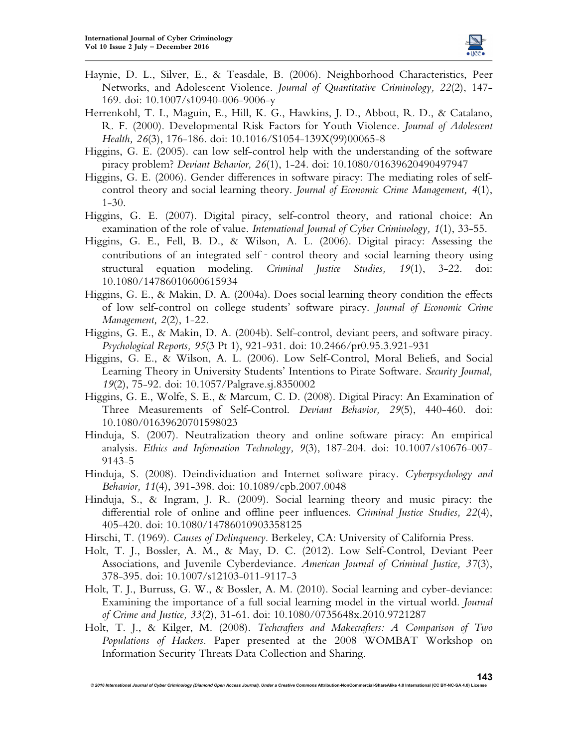

- Haynie, D. L., Silver, E., & Teasdale, B. (2006). Neighborhood Characteristics, Peer Networks, and Adolescent Violence. *Journal of Quantitative Criminology, 22*(2), 147- 169. doi: 10.1007/s10940-006-9006-y
- Herrenkohl, T. I., Maguin, E., Hill, K. G., Hawkins, J. D., Abbott, R. D., & Catalano, R. F. (2000). Developmental Risk Factors for Youth Violence. *Journal of Adolescent Health, 26*(3), 176-186. doi: 10.1016/S1054-139X(99)00065-8
- Higgins, G. E. (2005). can low self-control help with the understanding of the software piracy problem? *Deviant Behavior, 26*(1), 1-24. doi: 10.1080/01639620490497947
- Higgins, G. E. (2006). Gender differences in software piracy: The mediating roles of selfcontrol theory and social learning theory. *Journal of Economic Crime Management, 4*(1), 1-30.
- Higgins, G. E. (2007). Digital piracy, self-control theory, and rational choice: An examination of the role of value. *International Journal of Cyber Criminology, 1*(1), 33-55.
- Higgins, G. E., Fell, B. D., & Wilson, A. L. (2006). Digital piracy: Assessing the contributions of an integrated self - control theory and social learning theory using structural equation modeling. *Criminal Justice Studies, 19*(1), 3-22. doi: 10.1080/14786010600615934
- Higgins, G. E., & Makin, D. A. (2004a). Does social learning theory condition the effects of low self-control on college students' software piracy. *Journal of Economic Crime Management, 2*(2), 1-22.
- Higgins, G. E., & Makin, D. A. (2004b). Self-control, deviant peers, and software piracy. *Psychological Reports, 95*(3 Pt 1), 921-931. doi: 10.2466/pr0.95.3.921-931
- Higgins, G. E., & Wilson, A. L. (2006). Low Self-Control, Moral Beliefs, and Social Learning Theory in University Students' Intentions to Pirate Software. *Security Journal, 19*(2), 75-92. doi: 10.1057/Palgrave.sj.8350002
- Higgins, G. E., Wolfe, S. E., & Marcum, C. D. (2008). Digital Piracy: An Examination of Three Measurements of Self-Control. *Deviant Behavior, 29*(5), 440-460. doi: 10.1080/01639620701598023
- Hinduja, S. (2007). Neutralization theory and online software piracy: An empirical analysis. *Ethics and Information Technology, 9*(3), 187-204. doi: 10.1007/s10676-007- 9143-5
- Hinduja, S. (2008). Deindividuation and Internet software piracy. *Cyberpsychology and Behavior, 11*(4), 391-398. doi: 10.1089/cpb.2007.0048
- Hinduja, S., & Ingram, J. R. (2009). Social learning theory and music piracy: the differential role of online and offline peer influences. *Criminal Justice Studies, 22*(4), 405-420. doi: 10.1080/14786010903358125
- Hirschi, T. (1969). *Causes of Delinquency*. Berkeley, CA: University of California Press.
- Holt, T. J., Bossler, A. M., & May, D. C. (2012). Low Self-Control, Deviant Peer Associations, and Juvenile Cyberdeviance. *American Journal of Criminal Justice, 37*(3), 378-395. doi: 10.1007/s12103-011-9117-3
- Holt, T. J., Burruss, G. W., & Bossler, A. M. (2010). Social learning and cyber-deviance: Examining the importance of a full social learning model in the virtual world. *Journal of Crime and Justice, 33*(2), 31-61. doi: 10.1080/0735648x.2010.9721287
- Holt, T. J., & Kilger, M. (2008). *Techcrafters and Makecrafters: A Comparison of Two Populations of Hackers.* Paper presented at the 2008 WOMBAT Workshop on Information Security Threats Data Collection and Sharing.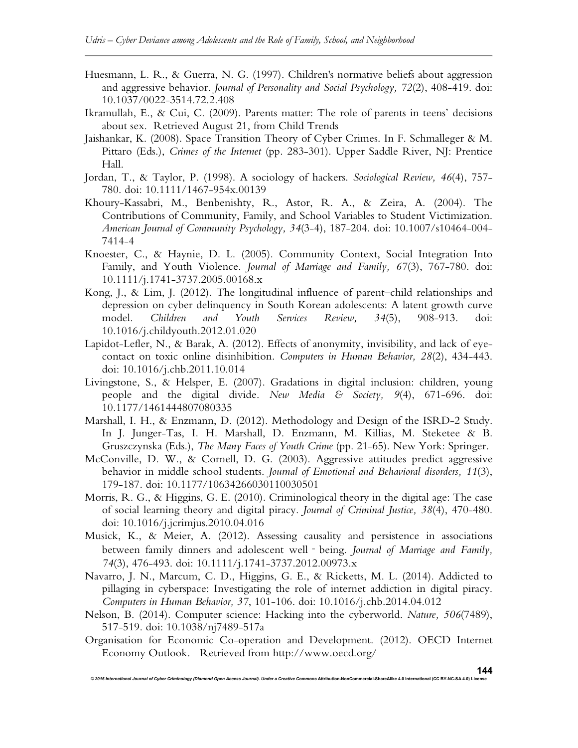- Huesmann, L. R., & Guerra, N. G. (1997). Children's normative beliefs about aggression and aggressive behavior. *Journal of Personality and Social Psychology, 72*(2), 408-419. doi: 10.1037/0022-3514.72.2.408
- Ikramullah, E., & Cui, C. (2009). Parents matter: The role of parents in teens' decisions about sex. Retrieved August 21, from Child Trends
- Jaishankar, K. (2008). Space Transition Theory of Cyber Crimes. In F. Schmalleger & M. Pittaro (Eds.), *Crimes of the Internet* (pp. 283-301). Upper Saddle River, NJ: Prentice Hall.
- Jordan, T., & Taylor, P. (1998). A sociology of hackers. *Sociological Review, 46*(4), 757- 780. doi: 10.1111/1467-954x.00139
- Khoury-Kassabri, M., Benbenishty, R., Astor, R. A., & Zeira, A. (2004). The Contributions of Community, Family, and School Variables to Student Victimization. *American Journal of Community Psychology, 34*(3-4), 187-204. doi: 10.1007/s10464-004- 7414-4
- Knoester, C., & Haynie, D. L. (2005). Community Context, Social Integration Into Family, and Youth Violence. *Journal of Marriage and Family, 67*(3), 767-780. doi: 10.1111/j.1741-3737.2005.00168.x
- Kong, J., & Lim, J. (2012). The longitudinal influence of parent–child relationships and depression on cyber delinquency in South Korean adolescents: A latent growth curve model. *Children and Youth Services Review, 34*(5), 908-913. doi: 10.1016/j.childyouth.2012.01.020
- Lapidot-Lefler, N., & Barak, A. (2012). Effects of anonymity, invisibility, and lack of eyecontact on toxic online disinhibition. *Computers in Human Behavior, 28*(2), 434-443. doi: 10.1016/j.chb.2011.10.014
- Livingstone, S., & Helsper, E. (2007). Gradations in digital inclusion: children, young people and the digital divide. *New Media & Society, 9*(4), 671-696. doi: 10.1177/1461444807080335
- Marshall, I. H., & Enzmann, D. (2012). Methodology and Design of the ISRD-2 Study. In J. Junger-Tas, I. H. Marshall, D. Enzmann, M. Killias, M. Steketee & B. Gruszczynska (Eds.), *The Many Faces of Youth Crime* (pp. 21-65). New York: Springer.
- McConville, D. W., & Cornell, D. G. (2003). Aggressive attitudes predict aggressive behavior in middle school students. *Journal of Emotional and Behavioral disorders, 11*(3), 179-187. doi: 10.1177/10634266030110030501
- Morris, R. G., & Higgins, G. E. (2010). Criminological theory in the digital age: The case of social learning theory and digital piracy. *Journal of Criminal Justice, 38*(4), 470-480. doi: 10.1016/j.jcrimjus.2010.04.016
- Musick, K., & Meier, A. (2012). Assessing causality and persistence in associations between family dinners and adolescent well‐being. *Journal of Marriage and Family, 74*(3), 476-493. doi: 10.1111/j.1741-3737.2012.00973.x
- Navarro, J. N., Marcum, C. D., Higgins, G. E., & Ricketts, M. L. (2014). Addicted to pillaging in cyberspace: Investigating the role of internet addiction in digital piracy. *Computers in Human Behavior, 37*, 101-106. doi: 10.1016/j.chb.2014.04.012
- Nelson, B. (2014). Computer science: Hacking into the cyberworld. *Nature, 506*(7489), 517-519. doi: 10.1038/nj7489-517a
- Organisation for Economic Co-operation and Development. (2012). OECD Internet Economy Outlook. Retrieved from http://www.oecd.org/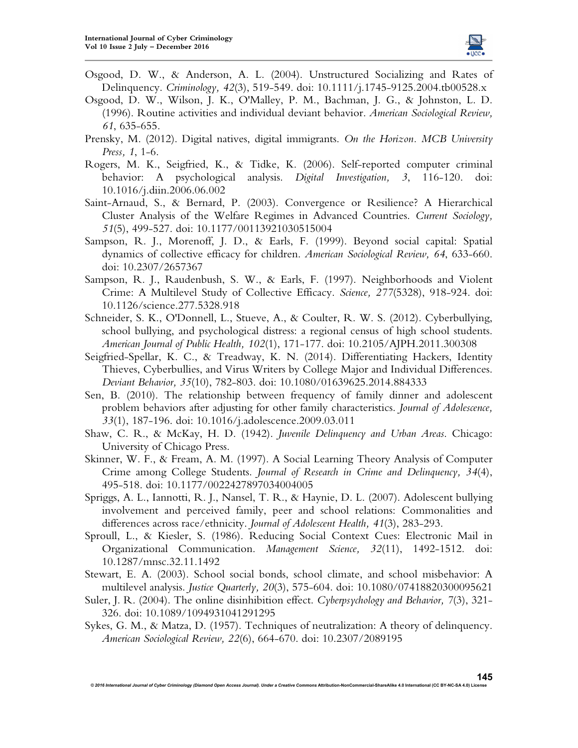

- Osgood, D. W., & Anderson, A. L. (2004). Unstructured Socializing and Rates of Delinquency. *Criminology, 42*(3), 519-549. doi: 10.1111/j.1745-9125.2004.tb00528.x
- Osgood, D. W., Wilson, J. K., O'Malley, P. M., Bachman, J. G., & Johnston, L. D. (1996). Routine activities and individual deviant behavior. *American Sociological Review, 61*, 635-655.
- Prensky, M. (2012). Digital natives, digital immigrants. *On the Horizon. MCB University Press, 1*, 1-6.
- Rogers, M. K., Seigfried, K., & Tidke, K. (2006). Self-reported computer criminal behavior: A psychological analysis. *Digital Investigation, 3*, 116-120. doi: 10.1016/j.diin.2006.06.002
- Saint-Arnaud, S., & Bernard, P. (2003). Convergence or Resilience? A Hierarchical Cluster Analysis of the Welfare Regimes in Advanced Countries. *Current Sociology, 51*(5), 499-527. doi: 10.1177/00113921030515004
- Sampson, R. J., Morenoff, J. D., & Earls, F. (1999). Beyond social capital: Spatial dynamics of collective efficacy for children. *American Sociological Review, 64*, 633-660. doi: 10.2307/2657367
- Sampson, R. J., Raudenbush, S. W., & Earls, F. (1997). Neighborhoods and Violent Crime: A Multilevel Study of Collective Efficacy. *Science, 277*(5328), 918-924. doi: 10.1126/science.277.5328.918
- Schneider, S. K., O'Donnell, L., Stueve, A., & Coulter, R. W. S. (2012). Cyberbullying, school bullying, and psychological distress: a regional census of high school students. *American Journal of Public Health, 102*(1), 171-177. doi: 10.2105/AJPH.2011.300308
- Seigfried-Spellar, K. C., & Treadway, K. N. (2014). Differentiating Hackers, Identity Thieves, Cyberbullies, and Virus Writers by College Major and Individual Differences. *Deviant Behavior, 35*(10), 782-803. doi: 10.1080/01639625.2014.884333
- Sen, B. (2010). The relationship between frequency of family dinner and adolescent problem behaviors after adjusting for other family characteristics. *Journal of Adolescence, 33*(1), 187-196. doi: 10.1016/j.adolescence.2009.03.011
- Shaw, C. R., & McKay, H. D. (1942). *Juvenile Delinquency and Urban Areas*. Chicago: University of Chicago Press.
- Skinner, W. F., & Fream, A. M. (1997). A Social Learning Theory Analysis of Computer Crime among College Students. *Journal of Research in Crime and Delinquency, 34*(4), 495-518. doi: 10.1177/0022427897034004005
- Spriggs, A. L., Iannotti, R. J., Nansel, T. R., & Haynie, D. L. (2007). Adolescent bullying involvement and perceived family, peer and school relations: Commonalities and differences across race/ethnicity. *Journal of Adolescent Health, 41*(3), 283-293.
- Sproull, L., & Kiesler, S. (1986). Reducing Social Context Cues: Electronic Mail in Organizational Communication. *Management Science, 32*(11), 1492-1512. doi: 10.1287/mnsc.32.11.1492
- Stewart, E. A. (2003). School social bonds, school climate, and school misbehavior: A multilevel analysis. *Justice Quarterly, 20*(3), 575-604. doi: 10.1080/07418820300095621
- Suler, J. R. (2004). The online disinhibition effect. *Cyberpsychology and Behavior, 7*(3), 321- 326. doi: 10.1089/1094931041291295
- Sykes, G. M., & Matza, D. (1957). Techniques of neutralization: A theory of delinquency. *American Sociological Review, 22*(6), 664-670. doi: 10.2307/2089195